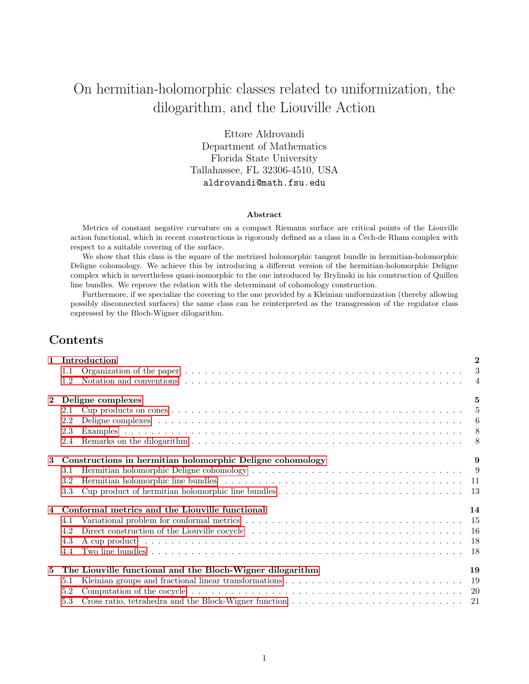# On hermitian-holomorphic classes related to uniformization, the dilogarithm, and the Liouville Action

Ettore Aldrovandi Department of Mathematics Florida State University Tallahassee, FL 32306-4510, USA aldrovandi@math.fsu.edu

#### Abstract

Metrics of constant negative curvature on a compact Riemann surface are critical points of the Liouville action functional, which in recent constructions is rigorously defined as a class in a Čech-de Rham complex with respect to a suitable covering of the surface.

We show that this class is the square of the metrized holomorphic tangent bundle in hermitian-holomorphic Deligne cohomology. We achieve this by introducing a different version of the hermitian-holomorphic Deligne complex which is nevertheless quasi-isomorphic to the one introduced by Brylinski in his construction of Quillen line bundles. We reprove the relation with the determinant of cohomology construction.

Furthermore, if we specialize the covering to the one provided by a Kleinian uniformization (thereby allowing possibly disconnected surfaces) the same class can be reinterpreted as the transgression of the regulator class expressed by the Bloch-Wigner dilogarithm.

# Contents

| $1.1\,$<br>1.2<br>$\mathbf{2}$<br>Deligne complexes<br>2.1<br>Deligne complexes because the contract of the contract of the contract of the contract of the contract of the contract of the contract of the contract of the contract of the contract of the contract of the contract of the<br>2.2<br>2.3<br>2.4<br>Constructions in hermitian holomorphic Deligne cohomology<br>3<br>Hermitian holomorphic Deligne cohomology $\dots \dots \dots \dots \dots \dots \dots \dots \dots \dots \dots \dots \dots$<br>3.1<br>Hermitian holomorphic line bundles (a) and a series and a series of the series of the series of the series of $11$<br>$3.2\,$<br>$3.3\,$<br>Conformal metrics and the Liouville functional<br>4.1<br>4.2<br>4.3<br>4.4<br>The Liouville functional and the Bloch-Wigner dilogarithm<br>5<br>5.1<br>5.2<br>5.3 | 1 Introduction | $\overline{2}$ |
|----------------------------------------------------------------------------------------------------------------------------------------------------------------------------------------------------------------------------------------------------------------------------------------------------------------------------------------------------------------------------------------------------------------------------------------------------------------------------------------------------------------------------------------------------------------------------------------------------------------------------------------------------------------------------------------------------------------------------------------------------------------------------------------------------------------------------------------|----------------|----------------|
|                                                                                                                                                                                                                                                                                                                                                                                                                                                                                                                                                                                                                                                                                                                                                                                                                                        |                |                |
|                                                                                                                                                                                                                                                                                                                                                                                                                                                                                                                                                                                                                                                                                                                                                                                                                                        |                |                |
|                                                                                                                                                                                                                                                                                                                                                                                                                                                                                                                                                                                                                                                                                                                                                                                                                                        |                | $\overline{5}$ |
|                                                                                                                                                                                                                                                                                                                                                                                                                                                                                                                                                                                                                                                                                                                                                                                                                                        |                |                |
|                                                                                                                                                                                                                                                                                                                                                                                                                                                                                                                                                                                                                                                                                                                                                                                                                                        |                |                |
|                                                                                                                                                                                                                                                                                                                                                                                                                                                                                                                                                                                                                                                                                                                                                                                                                                        |                |                |
|                                                                                                                                                                                                                                                                                                                                                                                                                                                                                                                                                                                                                                                                                                                                                                                                                                        |                |                |
|                                                                                                                                                                                                                                                                                                                                                                                                                                                                                                                                                                                                                                                                                                                                                                                                                                        |                | 9              |
|                                                                                                                                                                                                                                                                                                                                                                                                                                                                                                                                                                                                                                                                                                                                                                                                                                        |                |                |
|                                                                                                                                                                                                                                                                                                                                                                                                                                                                                                                                                                                                                                                                                                                                                                                                                                        |                |                |
|                                                                                                                                                                                                                                                                                                                                                                                                                                                                                                                                                                                                                                                                                                                                                                                                                                        |                |                |
|                                                                                                                                                                                                                                                                                                                                                                                                                                                                                                                                                                                                                                                                                                                                                                                                                                        |                | 14             |
|                                                                                                                                                                                                                                                                                                                                                                                                                                                                                                                                                                                                                                                                                                                                                                                                                                        |                |                |
|                                                                                                                                                                                                                                                                                                                                                                                                                                                                                                                                                                                                                                                                                                                                                                                                                                        |                |                |
|                                                                                                                                                                                                                                                                                                                                                                                                                                                                                                                                                                                                                                                                                                                                                                                                                                        |                |                |
|                                                                                                                                                                                                                                                                                                                                                                                                                                                                                                                                                                                                                                                                                                                                                                                                                                        |                |                |
|                                                                                                                                                                                                                                                                                                                                                                                                                                                                                                                                                                                                                                                                                                                                                                                                                                        |                | 19             |
|                                                                                                                                                                                                                                                                                                                                                                                                                                                                                                                                                                                                                                                                                                                                                                                                                                        |                |                |
|                                                                                                                                                                                                                                                                                                                                                                                                                                                                                                                                                                                                                                                                                                                                                                                                                                        |                |                |
|                                                                                                                                                                                                                                                                                                                                                                                                                                                                                                                                                                                                                                                                                                                                                                                                                                        |                |                |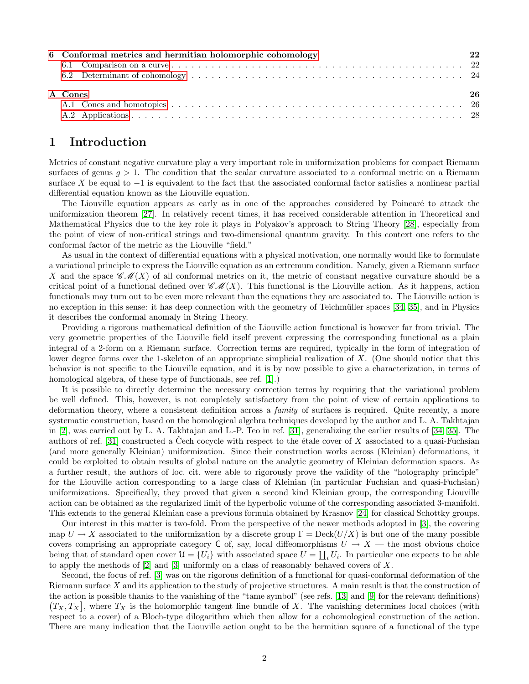| 6 Conformal metrics and hermitian holomorphic cohomology | 22 |
|----------------------------------------------------------|----|
|                                                          |    |
|                                                          |    |
| A Cones                                                  | 26 |
|                                                          |    |
|                                                          |    |

# <span id="page-1-0"></span>1 Introduction

Metrics of constant negative curvature play a very important role in uniformization problems for compact Riemann surfaces of genus  $q > 1$ . The condition that the scalar curvature associated to a conformal metric on a Riemann surface X be equal to  $-1$  is equivalent to the fact that the associated conformal factor satisfies a nonlinear partial differential equation known as the Liouville equation.

The Liouville equation appears as early as in one of the approaches considered by Poincaré to attack the uniformization theorem [\[27\]](#page-28-0). In relatively recent times, it has received considerable attention in Theoretical and Mathematical Physics due to the key role it plays in Polyakov's approach to String Theory [\[28\]](#page-28-1), especially from the point of view of non-critical strings and two-dimensional quantum gravity. In this context one refers to the conformal factor of the metric as the Liouville "field."

As usual in the context of differential equations with a physical motivation, one normally would like to formulate a variational principle to express the Liouville equation as an extremum condition. Namely, given a Riemann surface X and the space  $\mathscr{CM}(X)$  of all conformal metrics on it, the metric of constant negative curvature should be a critical point of a functional defined over  $\mathscr{CM}(X)$ . This functional is the Liouville action. As it happens, action functionals may turn out to be even more relevant than the equations they are associated to. The Liouville action is no exception in this sense: it has deep connection with the geometry of Teichmüller spaces [\[34,](#page-29-0) [35\]](#page-29-1), and in Physics it describes the conformal anomaly in String Theory.

Providing a rigorous mathematical definition of the Liouville action functional is however far from trivial. The very geometric properties of the Liouville field itself prevent expressing the corresponding functional as a plain integral of a 2-form on a Riemann surface. Correction terms are required, typically in the form of integration of lower degree forms over the 1-skeleton of an appropriate simplicial realization of X. (One should notice that this behavior is not specific to the Liouville equation, and it is by now possible to give a characterization, in terms of homological algebra, of these type of functionals, see ref. [\[1\]](#page-27-1).)

It is possible to directly determine the necessary correction terms by requiring that the variational problem be well defined. This, however, is not completely satisfactory from the point of view of certain applications to deformation theory, where a consistent definition across a family of surfaces is required. Quite recently, a more systematic construction, based on the homological algebra techniques developed by the author and L. A. Takhtajan in [\[2\]](#page-27-2), was carried out by L. A. Takhtajan and L.-P. Teo in ref. [\[31\]](#page-29-2), generalizing the earlier results of [\[34,](#page-29-0) [35\]](#page-29-1). The authors of ref. [\[31\]](#page-29-2) constructed a Čech cocycle with respect to the étale cover of  $X$  associated to a quasi-Fuchsian (and more generally Kleinian) uniformization. Since their construction works across (Kleinian) deformations, it could be exploited to obtain results of global nature on the analytic geometry of Kleinian deformation spaces. As a further result, the authors of loc. cit. were able to rigorously prove the validity of the "holography principle" for the Liouville action corresponding to a large class of Kleinian (in particular Fuchsian and quasi-Fuchsian) uniformizations. Specifically, they proved that given a second kind Kleinian group, the corresponding Liouville action can be obtained as the regularized limit of the hyperbolic volume of the corresponding associated 3-manifold. This extends to the general Kleinian case a previous formula obtained by Krasnov [\[24\]](#page-28-2) for classical Schottky groups.

Our interest in this matter is two-fold. From the perspective of the newer methods adopted in [\[3\]](#page-27-3), the covering map  $U \to X$  associated to the uniformization by a discrete group  $\Gamma = \text{Deck}(U/X)$  is but one of the many possible covers comprising an appropriate category C of, say, local diffeomorphisms  $U \to X$  — the most obvious choice being that of standard open cover  $\mathcal{U} = \{U_i\}$  with associated space  $U = \coprod_i U_i$ . In particular one expects to be able to apply the methods of  $[2]$  and  $[3]$  uniformly on a class of reasonably behaved covers of X.

Second, the focus of ref. [\[3\]](#page-27-3) was on the rigorous definition of a functional for quasi-conformal deformation of the Riemann surface  $X$  and its application to the study of projective structures. A main result is that the construction of the action is possible thanks to the vanishing of the "tame symbol" (see refs. [\[13\]](#page-28-3) and [\[9\]](#page-28-4) for the relevant definitions)  $(T_X, T_X)$ , where  $T_X$  is the holomorphic tangent line bundle of X. The vanishing determines local choices (with respect to a cover) of a Bloch-type dilogarithm which then allow for a cohomological construction of the action. There are many indication that the Liouville action ought to be the hermitian square of a functional of the type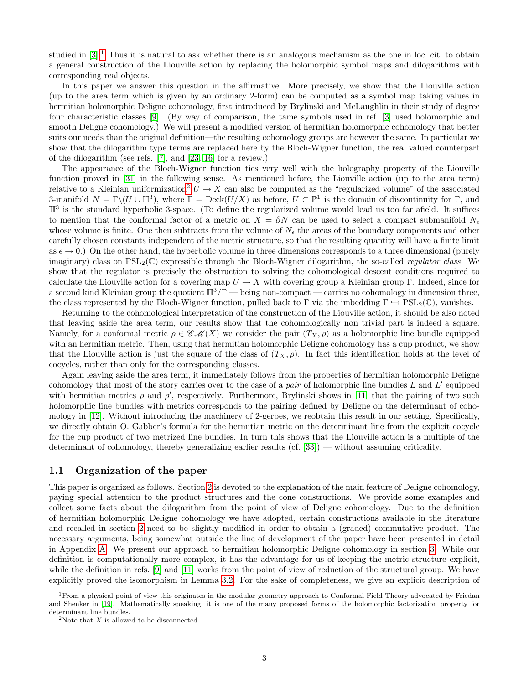studied in  $[3]$ .<sup>[1](#page-2-1)</sup> Thus it is natural to ask whether there is an analogous mechanism as the one in loc. cit. to obtain a general construction of the Liouville action by replacing the holomorphic symbol maps and dilogarithms with corresponding real objects.

In this paper we answer this question in the affirmative. More precisely, we show that the Liouville action (up to the area term which is given by an ordinary 2-form) can be computed as a symbol map taking values in hermitian holomorphic Deligne cohomology, first introduced by Brylinski and McLaughlin in their study of degree four characteristic classes [\[9\]](#page-28-4). (By way of comparison, the tame symbols used in ref. [\[3\]](#page-27-3) used holomorphic and smooth Deligne cohomology.) We will present a modified version of hermitian holomorphic cohomology that better suits our needs than the original definition—the resulting cohomology groups are however the same. In particular we show that the dilogarithm type terms are replaced here by the Bloch-Wigner function, the real valued counterpart of the dilogarithm (see refs. [\[7\]](#page-28-5), and [\[23,](#page-28-6) [16\]](#page-28-7) for a review.)

The appearance of the Bloch-Wigner function ties very well with the holography property of the Liouville function proved in [\[31\]](#page-29-2) in the following sense. As mentioned before, the Liouville action (up to the area term) relative to a Kleinian uniformization<sup>[2](#page-2-2)</sup> U  $\rightarrow X$  can also be computed as the "regularized volume" of the associated 3-manifold  $N = \Gamma \setminus (U \cup \mathbb{H}^3)$ , where  $\Gamma = \text{Deck}(U/X)$  as before,  $U \subset \mathbb{P}^1$  is the domain of discontinuity for  $\Gamma$ , and  $\mathbb{H}^3$  is the standard hyperbolic 3-space. (To define the regularized volume would lead us too far afield. It suffices to mention that the conformal factor of a metric on  $X = \partial N$  can be used to select a compact submanifold  $N_e$ whose volume is finite. One then subtracts from the volume of  $N_{\epsilon}$  the areas of the boundary components and other carefully chosen constants independent of the metric structure, so that the resulting quantity will have a finite limit as  $\epsilon \to 0$ .) On the other hand, the hyperbolic volume in three dimensions corresponds to a three dimensional (purely imaginary) class on  $PSL_2(\mathbb{C})$  expressible through the Bloch-Wigner dilogarithm, the so-called *regulator class*. We show that the regulator is precisely the obstruction to solving the cohomological descent conditions required to calculate the Liouville action for a covering map  $U \to X$  with covering group a Kleinian group Γ. Indeed, since for a second kind Kleinian group the quotient  $\mathbb{H}^3/\Gamma$  — being non-compact — carries no cohomology in dimension three, the class represented by the Bloch-Wigner function, pulled back to Γ via the imbedding  $\Gamma \hookrightarrow \text{PSL}_2(\mathbb{C})$ , vanishes.

Returning to the cohomological interpretation of the construction of the Liouville action, it should be also noted that leaving aside the area term, our results show that the cohomologically non trivial part is indeed a square. Namely, for a conformal metric  $\rho \in \mathscr{CM}(X)$  we consider the pair  $(T_X, \rho)$  as a holomorphic line bundle equipped with an hermitian metric. Then, using that hermitian holomorphic Deligne cohomology has a cup product, we show that the Liouville action is just the square of the class of  $(T_X, \rho)$ . In fact this identification holds at the level of cocycles, rather than only for the corresponding classes.

Again leaving aside the area term, it immediately follows from the properties of hermitian holomorphic Deligne cohomology that most of the story carries over to the case of a *pair* of holomorphic line bundles  $L$  and  $L'$  equipped with hermitian metrics  $\rho$  and  $\rho'$ , respectively. Furthermore, Brylinski shows in [\[11\]](#page-28-8) that the pairing of two such holomorphic line bundles with metrics corresponds to the pairing defined by Deligne on the determinant of cohomology in [\[12\]](#page-28-9). Without introducing the machinery of 2-gerbes, we reobtain this result in our setting. Specifically, we directly obtain O. Gabber's formula for the hermitian metric on the determinant line from the explicit cocycle for the cup product of two metrized line bundles. In turn this shows that the Liouville action is a multiple of the determinant of cohomology, thereby generalizing earlier results (cf. [\[33\]](#page-29-3)) — without assuming criticality.

### <span id="page-2-0"></span>1.1 Organization of the paper

This paper is organized as follows. Section [2](#page-4-0) is devoted to the explanation of the main feature of Deligne cohomology, paying special attention to the product structures and the cone constructions. We provide some examples and collect some facts about the dilogarithm from the point of view of Deligne cohomology. Due to the definition of hermitian holomorphic Deligne cohomology we have adopted, certain constructions available in the literature and recalled in section [2](#page-4-0) need to be slightly modified in order to obtain a (graded) commutative product. The necessary arguments, being somewhat outside the line of development of the paper have been presented in detail in Appendix [A.](#page-25-0) We present our approach to hermitian holomorphic Deligne cohomology in section [3.](#page-8-0) While our definition is computationally more complex, it has the advantage for us of keeping the metric structure explicit, while the definition in refs. [\[9\]](#page-28-4) and [\[11\]](#page-28-8) works from the point of view of reduction of the structural group. We have explicitly proved the isomorphism in Lemma [3.2.](#page-9-0) For the sake of completeness, we give an explicit description of

<span id="page-2-1"></span><sup>&</sup>lt;sup>1</sup> From a physical point of view this originates in the modular geometry approach to Conformal Field Theory advocated by Friedan and Shenker in [\[19\]](#page-28-10). Mathematically speaking, it is one of the many proposed forms of the holomorphic factorization property for determinant line bundles.

<span id="page-2-2"></span><sup>&</sup>lt;sup>2</sup>Note that  $X$  is allowed to be disconnected.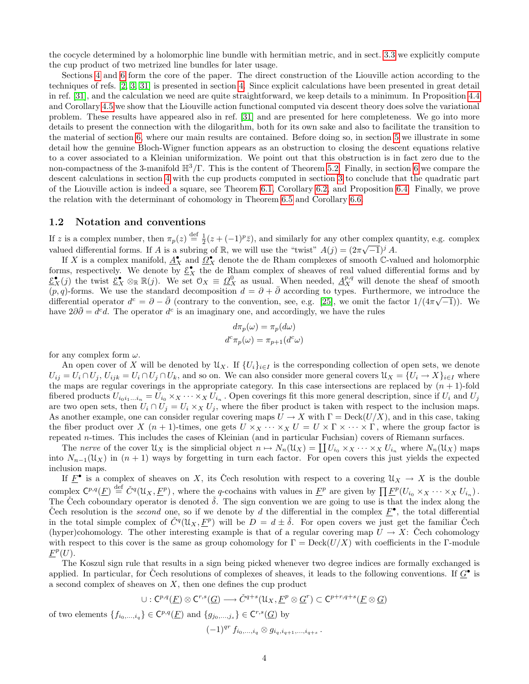the cocycle determined by a holomorphic line bundle with hermitian metric, and in sect. [3.3](#page-12-0) we explicitly compute the cup product of two metrized line bundles for later usage.

Sections [4](#page-13-0) and [6](#page-21-0) form the core of the paper. The direct construction of the Liouville action according to the techniques of refs. [\[2,](#page-27-2) [3,](#page-27-3) [31\]](#page-29-2) is presented in section [4.](#page-13-0) Since explicit calculations have been presented in great detail in ref. [\[31\]](#page-29-2), and the calculation we need are quite straightforward, we keep details to a minimum. In Proposition [4.4](#page-16-0) and Corollary [4.5](#page-16-1) we show that the Liouville action functional computed via descent theory does solve the variational problem. These results have appeared also in ref. [\[31\]](#page-29-2) and are presented for here completeness. We go into more details to present the connection with the dilogarithm, both for its own sake and also to facilitate the transition to the material of section [6,](#page-21-0) where our main results are contained. Before doing so, in section [5](#page-18-0) we illustrate in some detail how the genuine Bloch-Wigner function appears as an obstruction to closing the descent equations relative to a cover associated to a Kleinian uniformization. We point out that this obstruction is in fact zero due to the non-compactness of the 3-manifold  $\mathbb{H}^3/\Gamma$ . This is the content of Theorem [5.2.](#page-20-1) Finally, in section [6](#page-21-0) we compare the descent calculations in section [4](#page-13-0) with the cup products computed in section [3](#page-8-0) to conclude that the quadratic part of the Liouville action is indeed a square, see Theorem [6.1,](#page-21-2) Corollary [6.2,](#page-22-0) and Proposition [6.4.](#page-23-1) Finally, we prove the relation with the determinant of cohomology in Theorem [6.5](#page-23-2) and Corollary [6.6.](#page-25-2)

#### <span id="page-3-0"></span>1.2 Notation and conventions

If z is a complex number, then  $\pi_p(z) \stackrel{\text{def}}{=} \frac{1}{2}(z + (-1)^p \overline{z})$ , and similarly for any other complex quantity, e.g. complex valued differential forms. If A is a subring of R, we will use the "twist"  $A(j) = (2\pi\sqrt{-1})^j A$ .

If X is a complex manifold,  $\underline{A}_X^{\bullet}$  and  $\underline{\Omega}_X^{\bullet}$  denote the de Rham complexes of smooth C-valued and holomorphic forms, respectively. We denote by  $\underline{\mathcal{E}}_X^{\bullet}$  the de Rham complex of sheaves of real valued differential forms and by  $\underline{\mathcal{E}}_X^{\bullet}(j)$  the twist  $\underline{\mathcal{E}}_X^{\bullet} \otimes_{\mathbb{R}} \mathbb{R}(j)$ . We set  $\mathcal{O}_X \equiv \underline{\Omega}_X^0$  as usual. When needed,  $\underline{A}_X^{p,q}$  will denote the sheaf of smooth  $(p, q)$ -forms. We use the standard decomposition  $d = \partial + \bar{\partial}$  according to types. Furthermore, we introduce the differential operator  $d^c = \partial - \bar{\partial}$  (contrary to the convention, see, e.g. [\[25\]](#page-28-11), we omit the factor  $1/(4\pi\sqrt{-1})$ ). We have  $2\partial\bar{\partial} = d^c d$ . The operator  $d^c$  is an imaginary one, and accordingly, we have the rules

$$
d\pi_p(\omega) = \pi_p(d\omega)
$$

$$
d^c \pi_p(\omega) = \pi_{p+1}(d^c \omega)
$$

for any complex form  $\omega$ .

An open cover of X will be denoted by  $\mathcal{U}_X$ . If  $\{U_i\}_{i\in I}$  is the corresponding collection of open sets, we denote  $U_{ij} = U_i \cap U_j$ ,  $U_{ijk} = U_i \cap U_j \cap U_k$ , and so on. We can also consider more general covers  $\mathfrak{U}_X = \{U_i \to X\}_{i \in I}$  where the maps are regular coverings in the appropriate category. In this case intersections are replaced by  $(n + 1)$ -fold fibered products  $U_{i_0i_1...i_n} = U_{i_0} \times_X \cdots \times_X U_{i_n}$ . Open coverings fit this more general description, since if  $U_i$  and  $U_j$ are two open sets, then  $U_i \cap U_j = U_i \times_X U_j$ , where the fiber product is taken with respect to the inclusion maps. As another example, one can consider regular covering maps  $U \to X$  with  $\Gamma = \text{Deck}(U/X)$ , and in this case, taking the fiber product over X  $(n + 1)$ -times, one gets  $U \times_X \cdots \times_X U = U \times \Gamma \times \cdots \times \Gamma$ , where the group factor is repeated n-times. This includes the cases of Kleinian (and in particular Fuchsian) covers of Riemann surfaces.

The nerve of the cover  $\mathcal{U}_X$  is the simplicial object  $n \mapsto N_n(\mathcal{U}_X) = \coprod U_{i_0} \times_X \cdots \times_X U_{i_n}$  where  $N_n(\mathcal{U}_X)$  maps into  $N_{n-1}(\mathcal{U}_X)$  in  $(n+1)$  ways by forgetting in turn each factor. For open covers this just yields the expected inclusion maps.

If  $\underline{F}^{\bullet}$  is a complex of sheaves on X, its Čech resolution with respect to a covering  $\mathcal{U}_X \to X$  is the double complex  $\mathsf{C}^{p,q}(\underline{F}) \stackrel{\text{def}}{=} \check{C}^q(\mathfrak{U}_X, \underline{F}^p)$ , where the q-cochains with values in  $\underline{F}^p$  are given by  $\prod \underline{F}^p(U_{i_0} \times_X \cdots \times_X U_{i_n})$ . The Čech coboundary operator is denoted  $\check{\delta}$ . The sign convention we are going to use is that the index along the Čech resolution is the *second* one, so if we denote by d the differential in the complex  $\underline{F}^{\bullet}$ , the total differential in the total simple complex of  $\check{C}^q(\mathcal{U}_X, \underline{F}^p)$  will be  $D = d \pm \check{\delta}$ . For open covers we just get the familiar Cech (hyper)cohomology. The other interesting example is that of a regular covering map  $U \to X$ : Čech cohomology with respect to this cover is the same as group cohomology for  $\Gamma = \text{Deck}(U/X)$  with coefficients in the Γ-module  $\underline{F}^p(U).$ 

The Koszul sign rule that results in a sign being picked whenever two degree indices are formally exchanged is applied. In particular, for Čech resolutions of complexes of sheaves, it leads to the following conventions. If  $\underline{G}^{\bullet}$  is a second complex of sheaves on  $X$ , then one defines the cup product

$$
\cup: C^{p,q}(\underline{F}) \otimes C^{r,s}(\underline{G}) \longrightarrow \check{C}^{q+s}(\mathfrak{U}_X, \underline{F}^p \otimes \underline{G}^r) \subset C^{p+r,q+s}(\underline{F} \otimes \underline{G})
$$

of two elements  $\{f_{i_0,\ldots,i_q}\}\in \mathbb{C}^{p,q}(\underline{F})$  and  $\{g_{j_0,\ldots,j_s}\}\in \mathbb{C}^{r,s}(\underline{G})$  by

$$
(-1)^{qr} f_{i_0,\ldots,i_q} \otimes g_{i_q,i_{q+1},\ldots,i_{q+s}}.
$$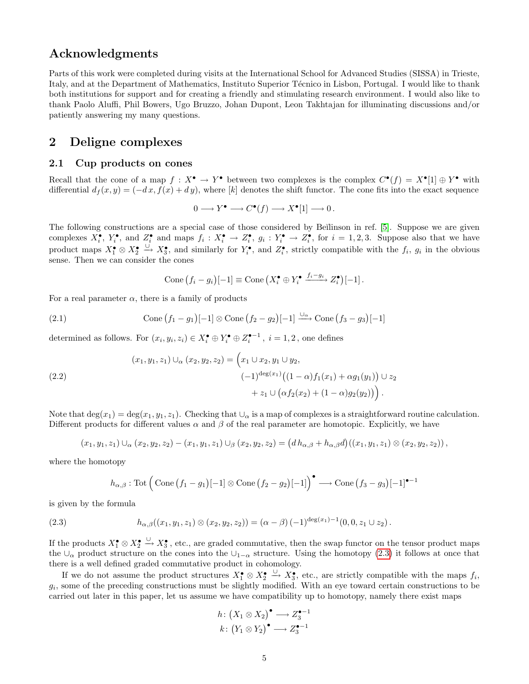# Acknowledgments

Parts of this work were completed during visits at the International School for Advanced Studies (SISSA) in Trieste, Italy, and at the Department of Mathematics, Instituto Superior Técnico in Lisbon, Portugal. I would like to thank both institutions for support and for creating a friendly and stimulating research environment. I would also like to thank Paolo Aluffi, Phil Bowers, Ugo Bruzzo, Johan Dupont, Leon Takhtajan for illuminating discussions and/or patiently answering my many questions.

# <span id="page-4-0"></span>2 Deligne complexes

### <span id="page-4-1"></span>2.1 Cup products on cones

Recall that the cone of a map  $f: X^{\bullet} \to Y^{\bullet}$  between two complexes is the complex  $C^{\bullet}(f) = X^{\bullet}[1] \oplus Y^{\bullet}$  with differential  $d_f(x, y) = (-dx, f(x) + dy)$ , where [k] denotes the shift functor. The cone fits into the exact sequence

$$
0 \longrightarrow Y^{\bullet} \longrightarrow C^{\bullet}(f) \longrightarrow X^{\bullet}[1] \longrightarrow 0.
$$

The following constructions are a special case of those considered by Beĭlinson in ref. [\[5\]](#page-27-4). Suppose we are given complexes  $X_i^{\bullet}, Y_i^{\bullet}$ , and  $Z_i^{\bullet}$  and maps  $f_i: X_i^{\bullet} \to Z_i^{\bullet}$ ,  $g_i: Y_i^{\bullet} \to Z_i^{\bullet}$ , for  $i = 1, 2, 3$ . Suppose also that we have product maps  $X_1^{\bullet} \otimes X_2^{\bullet} \xrightarrow{\cup} X_3^{\bullet}$ , and similarly for  $Y_i^{\bullet}$ , and  $Z_i^{\bullet}$ , strictly compatible with the  $f_i$ ,  $g_i$  in the obvious sense. Then we can consider the cones

<span id="page-4-4"></span><span id="page-4-3"></span>Cone 
$$
(f_i - g_i)[-1] \equiv
$$
Cone  $(X_i^{\bullet} \oplus Y_i^{\bullet} \xrightarrow{f_i - g_i} Z_i^{\bullet})[-1]$ .

For a real parameter  $\alpha$ , there is a family of products

(2.1) Cone 
$$
(f_1 - g_1)[-1] \otimes Cone (f_2 - g_2)[-1] \xrightarrow{\cup_{\alpha}} Cone (f_3 - g_3)[-1]
$$

determined as follows. For  $(x_i, y_i, z_i) \in X_i^{\bullet} \oplus Y_i^{\bullet} \oplus Z_i^{\bullet-1}$ ,  $i = 1, 2$ , one defines

(2.2)  
\n
$$
(x_1, y_1, z_1) \cup_{\alpha} (x_2, y_2, z_2) = \left( x_1 \cup x_2, y_1 \cup y_2, \right. \\
 \left. (-1)^{\deg(x_1)} \left( (1 - \alpha) f_1(x_1) + \alpha g_1(y_1) \right) \cup z_2 \\
 \left. + z_1 \cup \left( \alpha f_2(x_2) + (1 - \alpha) g_2(y_2) \right) \right) .
$$

Note that  $\deg(x_1) = \deg(x_1, y_1, z_1)$ . Checking that  $\cup_\alpha$  is a map of complexes is a straightforward routine calculation. Different products for different values  $\alpha$  and  $\beta$  of the real parameter are homotopic. Explicitly, we have

$$
(x_1,y_1,z_1)\cup_{\alpha} (x_2,y_2,z_2)-(x_1,y_1,z_1)\cup_{\beta} (x_2,y_2,z_2)=(dh_{\alpha,\beta}+h_{\alpha,\beta}d)((x_1,y_1,z_1)\otimes (x_2,y_2,z_2)),
$$

where the homotopy

<span id="page-4-2"></span>
$$
h_{\alpha,\beta} : \text{Tot}\left(\text{Cone}(f_1 - g_1)[-1] \otimes \text{Cone}(f_2 - g_2)[-1]\right)^{\bullet} \longrightarrow \text{Cone}(f_3 - g_3)[-1]^{\bullet - 1}
$$

is given by the formula

(2.3) 
$$
h_{\alpha,\beta}((x_1,y_1,z_1)\otimes (x_2,y_2,z_2))=(\alpha-\beta)(-1)^{\deg(x_1)-1}(0,0,z_1\cup z_2).
$$

If the products  $X_1^{\bullet} \otimes X_2^{\bullet} \xrightarrow{\cup} X_3^{\bullet}$ , etc., are graded commutative, then the swap functor on the tensor product maps the ∪<sub>α</sub> product structure on the cones into the  $\bigcup_{1-\alpha}$  structure. Using the homotopy [\(2.3\)](#page-4-2) it follows at once that there is a well defined graded commutative product in cohomology.

If we do not assume the product structures  $X_1^{\bullet} \otimes X_2^{\bullet} \xrightarrow{\cup} X_3^{\bullet}$ , etc., are strictly compatible with the maps  $f_i$ ,  $g_i$ , some of the preceding constructions must be slightly modified. With an eye toward certain constructions to be carried out later in this paper, let us assume we have compatibility up to homotopy, namely there exist maps

$$
h: (X_1 \otimes X_2)^\bullet \longrightarrow Z_3^{\bullet -1}
$$

$$
k: (Y_1 \otimes Y_2)^\bullet \longrightarrow Z_3^{\bullet -1}
$$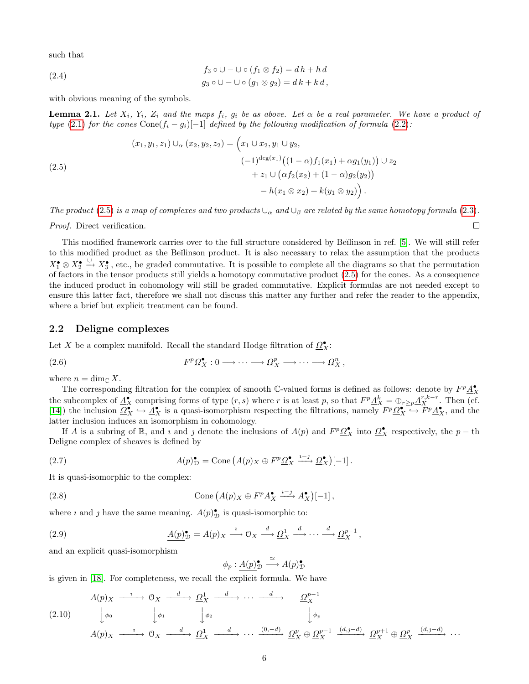such that

(2.4) 
$$
f_3 \circ \cup - \cup \circ (f_1 \otimes f_2) = d h + h d
$$

$$
g_3 \circ \cup - \cup \circ (g_1 \otimes g_2) = d k + k d,
$$

with obvious meaning of the symbols.

<span id="page-5-5"></span>**Lemma 2.1.** Let  $X_i$ ,  $Y_i$ ,  $Z_i$  and the maps  $f_i$ ,  $g_i$  be as above. Let  $\alpha$  be a real parameter. We have a product of type [\(2.1\)](#page-4-3) for the cones Cone( $f_i - g_i$ [-1] defined by the following modification of formula [\(2.2\)](#page-4-4):

(2.5)  
\n
$$
(x_1, y_1, z_1) \cup_{\alpha} (x_2, y_2, z_2) = \left(x_1 \cup x_2, y_1 \cup y_2, \right.
$$
\n
$$
(-1)^{\deg(x_1)} \left( (1 - \alpha) f_1(x_1) + \alpha g_1(y_1) \right) \cup z_2
$$
\n
$$
+ z_1 \cup \left( \alpha f_2(x_2) + (1 - \alpha) g_2(y_2) \right)
$$
\n
$$
- h(x_1 \otimes x_2) + k(y_1 \otimes y_2) \right).
$$

The product [\(2.5\)](#page-5-1) is a map of complexes and two products  $\cup_{\alpha}$  and  $\cup_{\beta}$  are related by the same homotopy formula [\(2.3\)](#page-4-2).

<span id="page-5-1"></span> $\Box$ 

Proof. Direct verification.

This modified framework carries over to the full structure considered by Beĭlinson in ref. [\[5\]](#page-27-4). We will still refer to this modified product as the Beĭlinson product. It is also necessary to relax the assumption that the products  $X_1^{\bullet} \otimes X_2^{\bullet} \xrightarrow{\cup} X_3^{\bullet}$ , etc., be graded commutative. It is possible to complete all the diagrams so that the permutation of factors in the tensor products still yields a homotopy commutative product [\(2.5\)](#page-5-1) for the cones. As a consequence the induced product in cohomology will still be graded commutative. Explicit formulas are not needed except to ensure this latter fact, therefore we shall not discuss this matter any further and refer the reader to the appendix, where a brief but explicit treatment can be found.

#### <span id="page-5-0"></span>2.2 Deligne complexes

Let X be a complex manifold. Recall the standard Hodge filtration of  $\mathcal{Q}_{X}^{\bullet}$ :

(2.6) 
$$
F^p \mathcal{Q}_X^{\bullet}: 0 \longrightarrow \cdots \longrightarrow \mathcal{Q}_X^p \longrightarrow \cdots \longrightarrow \mathcal{Q}_X^n,
$$

where  $n = \dim_{\mathbb{C}} X$ .

The corresponding filtration for the complex of smooth C-valued forms is defined as follows: denote by  $F^p \underline{A}_X^{\bullet}$ the subcomplex of  $\underline{A}_{X}^{\bullet}$  comprising forms of type  $(r, s)$  where r is at least p, so that  $F^p \underline{A}_{X}^k = \bigoplus_{r \geq p} \underline{A}_{X}^{r, k-r}$ . Then (cf. [\[14\]](#page-28-12)) the inclusion  $\mathcal{Q}_X^{\bullet} \hookrightarrow \mathcal{A}_X^{\bullet}$  is a quasi-isomorphism respecting the filtrations, namely  $F^p \mathcal{Q}_X^{\bullet} \hookrightarrow \tilde{F}^p \mathcal{A}_X^{\bullet}$ , and the latter inclusion induces an isomorphism in cohomology.

If A is a subring of R, and *i* and *j* denote the inclusions of  $A(p)$  and  $F^p \Omega^{\bullet}_X$  into  $\Omega^{\bullet}_X$  respectively, the  $p - th$ Deligne complex of sheaves is defined by

(2.7) 
$$
A(p)_{\mathcal{D}}^{\bullet} = \text{Cone} \left( A(p)_{X} \oplus F^{p} \underline{\Omega}_{X}^{\bullet} \xrightarrow{i-j} \underline{\Omega}_{X}^{\bullet} \right)[-1].
$$

It is quasi-isomorphic to the complex:

(2.8) Cone 
$$
(A(p)_X \oplus F^p \underline{A}_X^{\bullet} \xrightarrow{i-j} \underline{A}_X^{\bullet})[-1]
$$
,

where *i* and *j* have the same meaning.  $A(p)_{\mathcal{D}}^{\bullet}$  is quasi-isomorphic to:

(2.9) 
$$
\underline{A(p)}^{\bullet}_{\mathcal{D}} = A(p)_{X} \xrightarrow{i} 0_{X} \xrightarrow{d} \underline{\Omega}_{X}^{1} \xrightarrow{d} \cdots \xrightarrow{d} \underline{\Omega}_{X}^{p-1},
$$

and an explicit quasi-isomorphism

<span id="page-5-4"></span><span id="page-5-3"></span><span id="page-5-2"></span>
$$
\phi_p: \underline{A(p)}^{\bullet}_{\mathcal{D}} \xrightarrow{\simeq} A(p)^{\bullet}_{\mathcal{D}}
$$

is given in [\[18\]](#page-28-13). For completeness, we recall the explicit formula. We have

$$
(2.10) \quad A(p)_X \xrightarrow{\iota} 0_X \xrightarrow{d} \underline{\Omega}_X^1 \xrightarrow{d} \cdots \xrightarrow{d} \underline{\Omega}_X^{p-1}
$$
\n
$$
(2.10) \quad \downarrow \phi_0 \qquad \downarrow \phi_1 \qquad \downarrow \phi_2 \qquad \downarrow \phi_p
$$
\n
$$
A(p)_X \xrightarrow{\iota} 0_X \xrightarrow{-d} \underline{\Omega}_X^1 \xrightarrow{-d} \cdots \xrightarrow{(0, -d)} \underline{\Omega}_X^p \oplus \underline{\Omega}_X^{p-1} \xrightarrow{(d, j-d)} \underline{\Omega}_X^{p+1} \oplus \underline{\Omega}_X^p \xrightarrow{(d, j-d)} \cdots
$$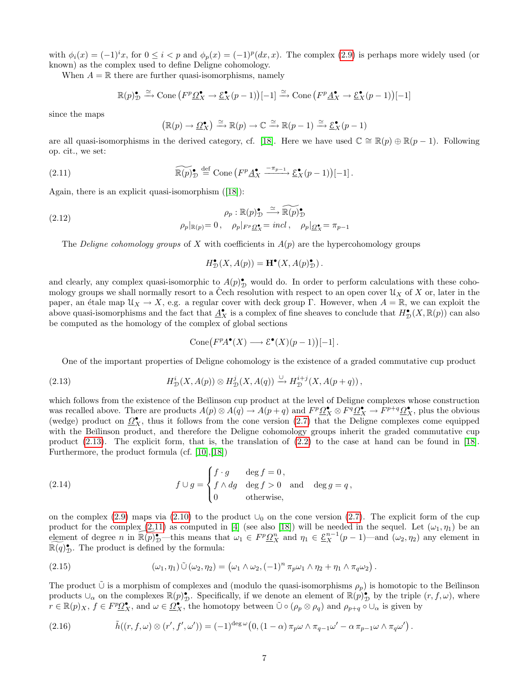with  $\phi_i(x) = (-1)^i x$ , for  $0 \le i < p$  and  $\phi_p(x) = (-1)^p (dx, x)$ . The complex [\(2.9\)](#page-5-2) is perhaps more widely used (or known) as the complex used to define Deligne cohomology.

When  $A = \mathbb{R}$  there are further quasi-isomorphisms, namely

<span id="page-6-1"></span>
$$
\mathbb{R}(p)_{\mathcal{D}}^{\bullet} \xrightarrow{\simeq} \text{Cone}\left(F^p \underline{\Omega}_{X}^{\bullet} \to \underline{\mathcal{E}}_{X}^{\bullet}(p-1)\right)[-1] \xrightarrow{\simeq} \text{Cone}\left(F^p \underline{A}_{X}^{\bullet} \to \underline{\mathcal{E}}_{X}^{\bullet}(p-1)\right)[-1]
$$

since the maps

$$
(\mathbb{R}(p) \to \underline{\Omega}_X^{\bullet}) \xrightarrow{\simeq} \mathbb{R}(p) \to \mathbb{C} \xrightarrow{\simeq} \mathbb{R}(p-1) \xrightarrow{\simeq} \underline{\mathcal{E}}_X^{\bullet}(p-1)
$$

are all quasi-isomorphisms in the derived category, cf. [\[18\]](#page-28-13). Here we have used  $\mathbb{C} \cong \mathbb{R}(p) \oplus \mathbb{R}(p-1)$ . Following op. cit., we set:

(2.11) 
$$
\widetilde{\mathbb{R}(p)} \circ \prod_{\mathcal{D}} \stackrel{\text{def}}{=} \text{Cone} \left( F^p \underline{A}_X^{\bullet} \xrightarrow{-\pi_{p-1}} \underline{\mathcal{E}}_X^{\bullet}(p-1) \right)[-1].
$$

Again, there is an explicit quasi-isomorphism([\[18\]](#page-28-13)):

(2.12) 
$$
\rho_p : \mathbb{R}(p)_{\mathcal{D}}^{\bullet} \xrightarrow{\simeq} \widetilde{\mathbb{R}(p)}_{\mathcal{D}}^{\bullet}
$$

$$
\rho_p|_{\mathbb{R}(p)} = 0, \quad \rho_p|_{F^p \underline{\Omega}_{\mathbf{X}}^{\bullet}} = incl, \quad \rho_p|_{\underline{\Omega}_{\mathbf{X}}^{\bullet}} = \pi_{p-1}
$$

The Deligne cohomology groups of X with coefficients in  $A(p)$  are the hypercohomology groups

<span id="page-6-2"></span><span id="page-6-0"></span>
$$
H^{\bullet}_{\mathcal{D}}(X, A(p)) = \mathbf{H}^{\bullet}(X, A(p)^{\bullet}_{\mathcal{D}}).
$$

and clearly, any complex quasi-isomorphic to  $A(p)_\mathcal{D}^{\bullet}$  would do. In order to perform calculations with these cohomology groups we shall normally resort to a Cech resolution with respect to an open cover  $\mathcal{U}_X$  of X or, later in the paper, an étale map  $\mathcal{U}_X \to X$ , e.g. a regular cover with deck group Γ. However, when  $A = \mathbb{R}$ , we can exploit the above quasi-isomorphisms and the fact that  $\underline{A}_X^{\bullet}$  is a complex of fine sheaves to conclude that  $H_D^{\bullet}(X, \mathbb{R}(p))$  can also be computed as the homology of the complex of global sections

<span id="page-6-4"></span>
$$
Cone(F^pA^{\bullet}(X) \longrightarrow \mathcal{E}^{\bullet}(X)(p-1))[-1].
$$

One of the important properties of Deligne cohomology is the existence of a graded commutative cup product

(2.13) 
$$
H^i_{\mathcal{D}}(X, A(p)) \otimes H^j_{\mathcal{D}}(X, A(q)) \xrightarrow{\cup} H^{i+j}_{\mathcal{D}}(X, A(p+q)),
$$

which follows from the existence of the Beĭlinson cup product at the level of Deligne complexes whose construction was recalled above. There are products  $A(p) \otimes A(q) \to A(p+q)$  and  $F^p \mathcal{Q}_X^{\bullet} \otimes F^q \mathcal{Q}_X^{\bullet} \to F^{p+q} \mathcal{Q}_X^{\bullet}$ , plus the obvious (wedge) product on  $\mathcal{Q}_X^{\bullet}$ , thus it follows from the cone version [\(2.7\)](#page-5-3) that the Deligne complexes come equipped with the Beĭlinson product, and therefore the Deligne cohomology groups inherit the graded commutative cup product [\(2.13\)](#page-6-0). The explicit form, that is, the translation of [\(2.2\)](#page-4-4) to the case at hand can be found in [\[18\]](#page-28-13). Furthermore, the product formula (cf. [\[10\]](#page-28-14),[\[18\]](#page-28-13))

(2.14) 
$$
f \cup g = \begin{cases} f \cdot g & \text{deg } f = 0, \\ f \wedge dg & \text{deg } f > 0 \\ 0 & \text{otherwise,} \end{cases} \text{ and } \deg g = q,
$$

on the complex [\(2.9\)](#page-5-2) maps via [\(2.10\)](#page-5-4) to the product  $\cup_0$  on the cone version [\(2.7\)](#page-5-3). The explicit form of the cup product for the complex  $(2.11)$  as computed in [\[4\]](#page-27-5) (see also [\[18\]](#page-28-13)) will be needed in the sequel. Let  $(\omega_1, \eta_1)$  be an element of degree n in  $\mathbb{R}(p)_D^{\bullet}$ —this means that  $\omega_1 \in F^p \Omega_X^n$  and  $\eta_1 \in \underline{\mathcal{E}}_X^{n-1}(p-1)$ —and  $(\omega_2, \eta_2)$  any element in  $\mathbb{R}(q)_\mathcal{D}^\bullet$ . The product is defined by the formula:

<span id="page-6-3"></span>(2.15) 
$$
(\omega_1, \eta_1) \tilde{\cup} (\omega_2, \eta_2) = (\omega_1 \wedge \omega_2, (-1)^n \pi_p \omega_1 \wedge \eta_2 + \eta_1 \wedge \pi_q \omega_2).
$$

The product  $\tilde{\cup}$  is a morphism of complexes and (modulo the quasi-isomorphisms  $\rho_p$ ) is homotopic to the Beĭlinson products  $\cup_{\alpha}$  on the complexes  $\mathbb{R}(p)$ , Specifically, if we denote an element of  $\mathbb{R}(p)$ , by the triple  $(r, f, \omega)$ , where  $r \in \mathbb{R}(p)_X$ ,  $f \in F^p \Omega_X^{\bullet}$ , and  $\omega \in \Omega_X^{\bullet}$ , the homotopy between  $\tilde{\cup} \circ (\rho_p \otimes \rho_q)$  and  $\rho_{p+q} \circ \cup_{\alpha}$  is given by

(2.16) 
$$
\tilde{h}((r, f, \omega) \otimes (r', f', \omega')) = (-1)^{\deg \omega} (0, (1 - \alpha) \pi_p \omega \wedge \pi_{q-1} \omega' - \alpha \pi_{p-1} \omega \wedge \pi_q \omega').
$$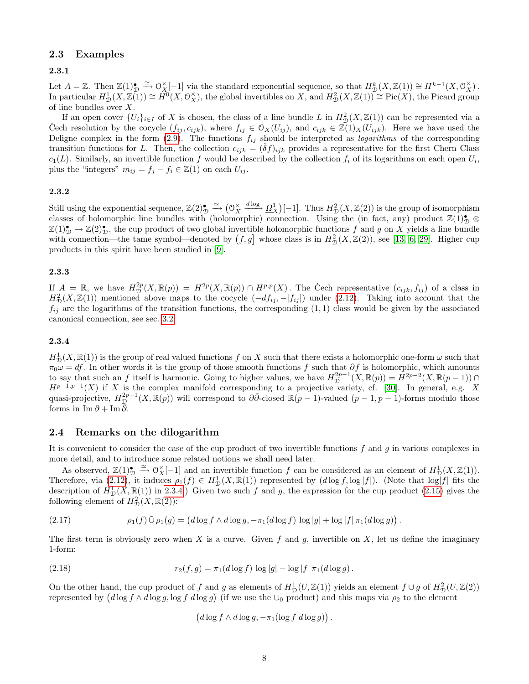### <span id="page-7-0"></span>2.3 Examples

#### 2.3.1

Let  $A = \mathbb{Z}$ . Then  $\mathbb{Z}(1)_{\mathcal{D}}^{\bullet} \xrightarrow{\simeq} \mathcal{O}_{X}^{\times}[-1]$  via the standard exponential sequence, so that  $H_{\mathcal{D}}^{k}(X, \mathbb{Z}(1)) \cong H^{k-1}(X, \mathcal{O}_{X}^{\times})$ . In particular  $H^1_{\mathcal{D}}(X, \mathbb{Z}(1)) \cong \hat{H}^0(X, \mathcal{O}_X^{\times})$ , the global invertibles on X, and  $H^2_{\mathcal{D}}(X, \mathbb{Z}(1)) \cong \text{Pic}(X)$ , the Picard group of line bundles over X.

If an open cover  $\{U_i\}_{i\in I}$  of X is chosen, the class of a line bundle L in  $H^2_{\mathcal{D}}(X,\mathbb{Z}(1))$  can be represented via a Cech resolution by the cocycle  $(f_{ij}, c_{ijk})$ , where  $f_{ij} \in \mathcal{O}_X(U_{ij})$ , and  $c_{ijk} \in \mathbb{Z}(1)_X(U_{ijk})$ . Here we have used the Deligne complex in the form  $(2.9)$ . The functions  $f_{ij}$  should be interpreted as *logarithms* of the corresponding transition functions for L. Then, the collection  $c_{ijk} = (\delta f)_{ijk}$  provides a representative for the first Chern Class  $c_1(L)$ . Similarly, an invertible function f would be described by the collection  $f_i$  of its logarithms on each open  $U_i$ , plus the "integers"  $m_{ij} = f_j - f_i \in \mathbb{Z}(1)$  on each  $U_{ij}$ .

#### 2.3.2

Still using the exponential sequence,  $\mathbb{Z}(2)_{\mathcal{D}}^{\bullet} \xrightarrow{\simeq} (\mathcal{O}_X^{\times})$  $\frac{d \log \Delta}{d \log \Delta}$  [-1]. Thus  $H^2_{\mathcal{D}}(X, \mathbb{Z}(2))$  is the group of isomorphism classes of holomorphic line bundles with (holomorphic) connection. Using the (in fact, any) product  $\mathbb{Z}(1)_\mathcal{D}^{\bullet} \otimes$  $\mathbb{Z}(1)_{\mathcal{D}}^{\bullet} \to \mathbb{Z}(2)_{\mathcal{D}}^{\bullet}$ , the cup product of two global invertible holomorphic functions f and g on X yields a line bundle with connection—the tame symbol—denoted by  $(f, g]$  whose class is in  $H_D^2(X, \mathbb{Z}(2))$ , see [\[13,](#page-28-3) [6,](#page-27-6) [29\]](#page-28-15). Higher cup products in this spirit have been studied in [\[9\]](#page-28-4).

#### 2.3.3

If  $A = \mathbb{R}$ , we have  $H_{\mathcal{D}}^{2p}(X, \mathbb{R}(p)) = H^{2p}(X, \mathbb{R}(p)) \cap H^{p,p}(X)$ . The Čech representative  $(c_{ijk}, f_{ij})$  of a class in  $H_{\mathcal{D}}^2(X,\mathbb{Z}(1))$  mentioned above maps to the cocycle  $(-df_{ij}, -|f_{ij}|)$  under [\(2.12\)](#page-6-2). Taking into account that the  $f_{ij}$  are the logarithms of the transition functions, the corresponding (1, 1) class would be given by the associated canonical connection, see sec. [3.2.](#page-10-0)

#### <span id="page-7-2"></span>2.3.4

 $H^1_{\mathcal{D}}(X,\mathbb{R}(1))$  is the group of real valued functions f on X such that there exists a holomorphic one-form  $\omega$  such that  $\pi_0 \omega = df$ . In other words it is the group of those smooth functions f such that  $\partial f$  is holomorphic, which amounts to say that such an f itself is harmonic. Going to higher values, we have  $H_{\mathcal{D}}^{2p-1}(X,\mathbb{R}(p)) = H^{2p-2}(X,\mathbb{R}(p-1)) \cap$  $H^{p-1,p-1}(X)$  if X is the complex manifold corresponding to a projective variety, cf. [\[30\]](#page-28-16). In general, e.g. X quasi-projective,  $H_{\mathcal{D}}^{2p-1}(X,\mathbb{R}(p))$  will correspond to  $\partial\bar{\partial}$ -closed  $\mathbb{R}(p-1)$ -valued  $(p-1,p-1)$ -forms modulo those forms in Im  $\partial$  + Im  $\overline{\partial}$ .

#### <span id="page-7-1"></span>2.4 Remarks on the dilogarithm

It is convenient to consider the case of the cup product of two invertible functions  $f$  and  $q$  in various complexes in more detail, and to introduce some related notions we shall need later.

As observed,  $\mathbb{Z}(1)_{\mathcal{D}}^{\bullet} \xrightarrow{\simeq} \mathcal{O}_{X}^{\times}[-1]$  and an invertible function f can be considered as an element of  $H_{\mathcal{D}}^{1}(X,\mathbb{Z}(1)).$ Therefore, via  $(2.12)$ , it induces  $\rho_1(f) \in H^1_{\mathcal{D}}(X,\mathbb{R}(1))$  represented by  $(d \log f, \log |f|)$ . (Note that  $\log |f|$  fits the description of  $H^1_{\mathcal{D}}(X,\mathbb{R}(1))$  in [2.3.4.](#page-7-2)) Given two such f and g, the expression for the cup product [\(2.15\)](#page-6-3) gives the following element of  $H^2_{\mathcal{D}}(X,\mathbb{R}(2))$ :

(2.17) 
$$
\rho_1(f) \tilde{\cup} \rho_1(g) = (d \log f \wedge d \log g, -\pi_1(d \log f) \log |g| + \log |f| \pi_1(d \log g)).
$$

<span id="page-7-3"></span>The first term is obviously zero when X is a curve. Given f and g, invertible on X, let us define the imaginary 1-form:

(2.18) 
$$
r_2(f,g) = \pi_1(d \log f) \log |g| - \log |f| \pi_1(d \log g).
$$

On the other hand, the cup product of f and g as elements of  $H_D^1(U, \mathbb{Z}(1))$  yields an element  $f \cup g$  of  $H_D^2(U, \mathbb{Z}(2))$ represented by  $(d \log f \wedge d \log g, \log f d \log g)$  (if we use the  $\cup_0$  product) and this maps via  $\rho_2$  to the element

$$
(d \log f \wedge d \log g, -\pi_1(\log f \, d \log g)).
$$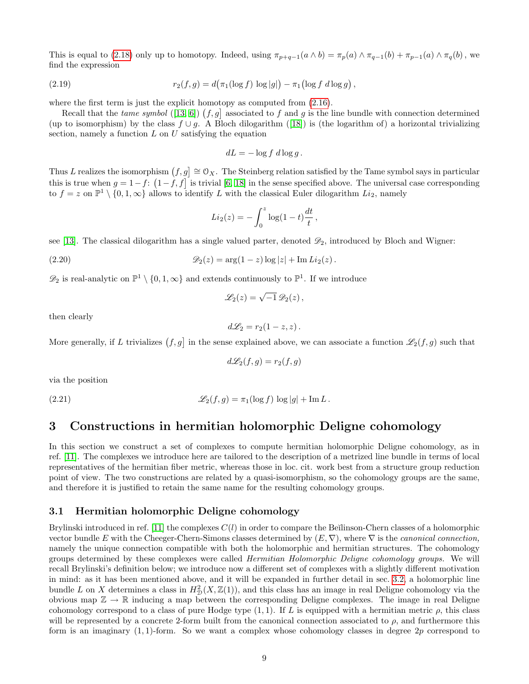<span id="page-8-4"></span>This is equal to [\(2.18\)](#page-7-3) only up to homotopy. Indeed, using  $\pi_{p+q-1}(a \wedge b) = \pi_p(a) \wedge \pi_{q-1}(b) + \pi_{p-1}(a) \wedge \pi_q(b)$ , we find the expression

(2.19) 
$$
r_2(f,g) = d(\pi_1(\log f) \log |g|) - \pi_1(\log f \, d \log g),
$$

where the first term is just the explicit homotopy as computed from  $(2.16)$ .

Recall that the *tame symbol* ([\[13,](#page-28-3) [6\]](#page-27-6))  $(f, g]$  associated to f and g is the line bundle with connection determined (upto isomorphism) by the class  $f \cup g$ . A Bloch dilogarithm ([\[18\]](#page-28-13)) is (the logarithm of) a horizontal trivializing section, namely a function  $L$  on  $U$  satisfying the equation

$$
dL = -\log f \, d\log g \, .
$$

Thus L realizes the isomorphism  $(f, g] \cong \mathcal{O}_X$ . The Steinberg relation satisfied by the Tame symbol says in particular this is true when  $g = 1-f$ :  $(1-f, f]$  is trivial [\[6,](#page-27-6) [18\]](#page-28-13) in the sense specified above. The universal case corresponding to  $f = z$  on  $\mathbb{P}^1 \setminus \{0, 1, \infty\}$  allows to identify L with the classical Euler dilogarithm  $Li_2$ , namely

$$
Li_2(z) = -\int_0^z \log(1-t) \frac{dt}{t},
$$

see [\[13\]](#page-28-3). The classical dilogarithm has a single valued parter, denoted  $\mathscr{D}_2$ , introduced by Bloch and Wigner:

$$
\mathcal{D}_2(z) = \arg(1-z)\log|z| + \text{Im}\,Li_2(z).
$$

 $\mathscr{D}_2$  is real-analytic on  $\mathbb{P}^1 \setminus \{0, 1, \infty\}$  and extends continuously to  $\mathbb{P}^1$ . If we introduce

<span id="page-8-3"></span>
$$
\mathscr{L}_2(z) = \sqrt{-1} \,\mathscr{D}_2(z)\,,
$$

then clearly

$$
d\mathscr{L}_2=r_2(1-z,z).
$$

More generally, if L trivializes  $(f, g]$  in the sense explained above, we can associate a function  $\mathscr{L}_2(f, g)$  such that

$$
d\mathcal{L}_2(f,g)=r_2(f,g)
$$

<span id="page-8-2"></span>via the position

(2.21) 
$$
\mathscr{L}_2(f,g) = \pi_1(\log f) \log |g| + \operatorname{Im} L.
$$

# <span id="page-8-0"></span>3 Constructions in hermitian holomorphic Deligne cohomology

In this section we construct a set of complexes to compute hermitian holomorphic Deligne cohomology, as in ref. [\[11\]](#page-28-8). The complexes we introduce here are tailored to the description of a metrized line bundle in terms of local representatives of the hermitian fiber metric, whereas those in loc. cit. work best from a structure group reduction point of view. The two constructions are related by a quasi-isomorphism, so the cohomology groups are the same, and therefore it is justified to retain the same name for the resulting cohomology groups.

#### <span id="page-8-1"></span>3.1 Hermitian holomorphic Deligne cohomology

Brylinski introduced in ref. [\[11\]](#page-28-8) the complexes  $C(l)$  in order to compare the Beĭlinson-Chern classes of a holomorphic vector bundle E with the Cheeger-Chern-Simons classes determined by  $(E, \nabla)$ , where  $\nabla$  is the *canonical connection*, namely the unique connection compatible with both the holomorphic and hermitian structures. The cohomology groups determined by these complexes were called Hermitian Holomorphic Deligne cohomology groups. We will recall Brylinski's definition below; we introduce now a different set of complexes with a slightly different motivation in mind: as it has been mentioned above, and it will be expanded in further detail in sec. [3.2,](#page-10-0) a holomorphic line bundle L on X determines a class in  $H_D^2(X, \mathbb{Z}(1))$ , and this class has an image in real Deligne cohomology via the obvious map  $\mathbb{Z} \to \mathbb{R}$  inducing a map between the corresponding Deligne complexes. The image in real Deligne cohomology correspond to a class of pure Hodge type  $(1,1)$ . If L is equipped with a hermitian metric  $\rho$ , this class will be represented by a concrete 2-form built from the canonical connection associated to  $\rho$ , and furthermore this form is an imaginary  $(1, 1)$ -form. So we want a complex whose cohomology classes in degree  $2p$  correspond to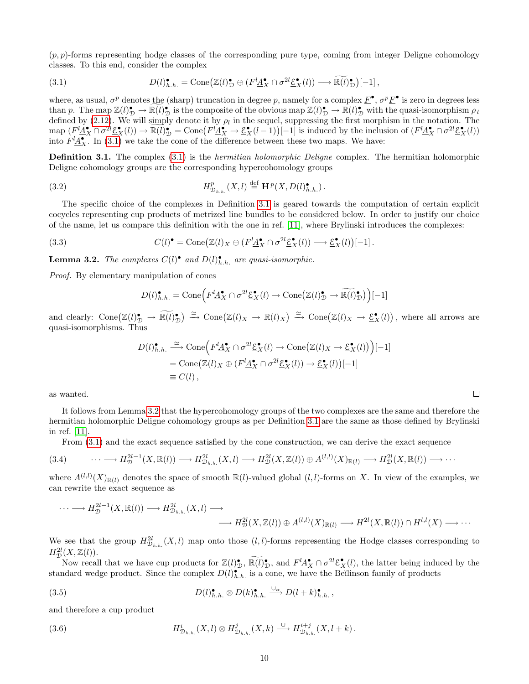$(p, p)$ -forms representing hodge classes of the corresponding pure type, coming from integer Deligne cohomology classes. To this end, consider the complex

<span id="page-9-1"></span>(3.1) 
$$
D(l)_{h.h.}^{\bullet} = \text{Cone}\big(\mathbb{Z}(l)_{\mathcal{D}}^{\bullet} \oplus (F^l \underline{A}_{X}^{\bullet} \cap \sigma^{2l} \underline{\mathcal{E}}_{X}^{\bullet}(l)) \longrightarrow \widetilde{\mathbb{R}(l)_{\mathcal{D}}^{\bullet}}\big)[-1],
$$

where, as usual,  $\sigma^p$  denotes the (sharp) truncation in degree p, namely for a complex  $\underline{F}^{\bullet}$ ,  $\sigma^p \underline{F}^{\bullet}$  is zero in degrees less than p. The map  $\mathbb{Z}(l)_\mathcal{D}^{\bullet} \to \mathbb{R}(l)_\mathcal{D}^{\bullet}$  is the composite of the obvious map  $\mathbb{Z}(l)_\mathcal{D}^{\bullet} \to \mathbb{R}(l)_\mathcal{D}^{\bullet}$  with the quasi-isomorphism  $\rho_l$ defined by [\(2.12\)](#page-6-2). We will simply denote it by  $\rho_l$  in the sequel, suppressing the first morphism in the notation. The  $\text{map } (F^l \underline{A}_{X}^{\bullet} \cap \sigma^{2l} \underline{\mathcal{E}}_{X}^{\bullet}(l)) \to \mathbb{R}(l)_{\mathcal{D}}^{\bullet} = \text{Cone}(F^l \underline{A}_{X}^{\bullet} \to \underline{\mathcal{E}}_{X}^{\bullet}(l-1))[-1]$  is induced by the inclusion of  $(F^l \underline{A}_{X}^{\bullet} \cap \sigma^{2l} \underline{\mathcal{E}}_{X}^{\bullet}(l))$ into  $F^l \underline{A}_{X}^{\bullet}$ . In [\(3.1\)](#page-9-1) we take the cone of the difference between these two maps. We have:

<span id="page-9-2"></span>**Definition 3.1.** The complex [\(3.1\)](#page-9-1) is the *hermitian holomorphic Deligne* complex. The hermitian holomorphic Deligne cohomology groups are the corresponding hypercohomology groups

(3.2) 
$$
H_{\mathcal{D}_{h.h.}}^p(X,l) \stackrel{\text{def}}{=} \mathbf{H}^p(X,D(l)_{h.h.}^{\bullet}).
$$

The specific choice of the complexes in Definition [3.1](#page-9-2) is geared towards the computation of certain explicit cocycles representing cup products of metrized line bundles to be considered below. In order to justify our choice of the name, let us compare this definition with the one in ref. [\[11\]](#page-28-8), where Brylinski introduces the complexes:

(3.3) 
$$
C(l)^{\bullet} = \text{Cone}\big(\mathbb{Z}(l)_X \oplus (F^l \underline{A}_X^{\bullet} \cap \sigma^{2l} \underline{\mathcal{E}}_X^{\bullet}(l)) \longrightarrow \underline{\mathcal{E}}_X^{\bullet}(l)\big)[-1].
$$

<span id="page-9-0"></span>**Lemma 3.2.** The complexes  $C(l)^{\bullet}$  and  $D(l)^{\bullet}_{h.h.}$  are quasi-isomorphic.

Proof. By elementary manipulation of cones

$$
D(l)_{h.h.}^{\bullet} = \text{Cone}\Big(F^l \underline{A}_{X}^{\bullet} \cap \sigma^{2l} \underline{\mathcal{E}}_{X}^{\bullet}(l) \to \text{Cone}\big(\mathbb{Z}(l)_{\mathcal{D}}^{\bullet} \to \widetilde{\mathbb{R}(l)_{\mathcal{D}}^{\bullet}}\big)\Big)[-1]
$$

and clearly:  $Cone(\mathbb{Z}(l)_\mathcal{D}^\bullet \to \mathbb{R}(l)_\mathcal{D}^\bullet) \xrightarrow{\simeq} \text{Cone}(\mathbb{Z}(l)_X \to \mathbb{R}(l)_X) \xrightarrow{\simeq} \text{Cone}(\mathbb{Z}(l)_X \to \underline{\mathcal{E}}_X^\bullet(l))$ , where all arrows are quasi-isomorphisms. Thus

$$
D(l)_{h.h.}^{\bullet} \xrightarrow{\simeq} \text{Cone}\Big(F^l \underline{A}_X^{\bullet} \cap \sigma^{2l} \underline{\mathcal{E}}_X^{\bullet}(l) \to \text{Cone}\big(\mathbb{Z}(l)_X \to \underline{\mathcal{E}}_X^{\bullet}(l)\big)\Big)[-1]
$$
  
= 
$$
\text{Cone}\big(\mathbb{Z}(l)_X \oplus (F^l \underline{A}_X^{\bullet} \cap \sigma^{2l} \underline{\mathcal{E}}_X^{\bullet}(l)) \to \underline{\mathcal{E}}_X^{\bullet}(l)\big)[-1]
$$
  
= 
$$
C(l),
$$

as wanted.

It follows from Lemma [3.2](#page-9-0) that the hypercohomology groups of the two complexes are the same and therefore the hermitian holomorphic Deligne cohomology groups as per Definition [3.1](#page-9-2) are the same as those defined by Brylinski in ref. [\[11\]](#page-28-8).

From [\(3.1\)](#page-9-1) and the exact sequence satisfied by the cone construction, we can derive the exact sequence

$$
(3.4) \qquad \cdots \longrightarrow H_{\mathcal{D}}^{2l-1}(X,\mathbb{R}(l)) \longrightarrow H_{\mathcal{D}_{h.h.}}^{2l}(X,l) \longrightarrow H_{\mathcal{D}}^{2l}(X,\mathbb{Z}(l)) \oplus A^{(l,l)}(X)_{\mathbb{R}(l)} \longrightarrow H_{\mathcal{D}}^{2l}(X,\mathbb{R}(l)) \longrightarrow \cdots
$$

where  $A^{(l,l)}(X)_{\mathbb{R}(l)}$  denotes the space of smooth  $\mathbb{R}(l)$ -valued global  $(l, l)$ -forms on X. In view of the examples, we can rewrite the exact sequence as

$$
\cdots \longrightarrow H_{\mathcal{D}}^{2l-1}(X,\mathbb{R}(l)) \longrightarrow H_{\mathcal{D}_{h.h.}}^{2l}(X,l) \longrightarrow
$$
  

$$
\longrightarrow H_{\mathcal{D}}^{2l}(X,\mathbb{Z}(l)) \oplus A^{(l,l)}(X)_{\mathbb{R}(l)} \longrightarrow H^{2l}(X,\mathbb{R}(l)) \cap H^{l,l}(X) \longrightarrow \cdots
$$

We see that the group  $H_{\mathcal{D}_{h,h}}^{2l}(X,l)$  map onto those  $(l,l)$ -forms representing the Hodge classes corresponding to  $H^{2l}_\mathcal{D}(X,\mathbb{Z}(l)).$ 

Now recall that we have cup products for  $\mathbb{Z}(l)_\mathcal{D}^{\bullet}$ ,  $\mathbb{R}(l)_\mathcal{D}^{\bullet}$ , and  $F^l \underline{A}_X^{\bullet} \cap \sigma^{2l} \underline{\mathcal{E}}_X^{\bullet}(l)$ , the latter being induced by the standard wedge product. Since the complex  $D(l)_{h.h.}^{\bullet}$  is a cone, we have the Beĭlinson family of products

(3.5) 
$$
D(l)_{h.h.}^{\bullet} \otimes D(k)_{h.h.}^{\bullet} \xrightarrow{\cup_{\alpha}} D(l+k)_{h.h.}^{\bullet},
$$

<span id="page-9-4"></span>and therefore a cup product

(3.6) 
$$
H_{\mathcal{D}_{h.h.}}^i(X, l) \otimes H_{\mathcal{D}_{h.h.}}^j(X, k) \xrightarrow{\cup} H_{\mathcal{D}_{h.h.}}^{i+j}(X, l+k).
$$

<span id="page-9-5"></span><span id="page-9-3"></span> $\Box$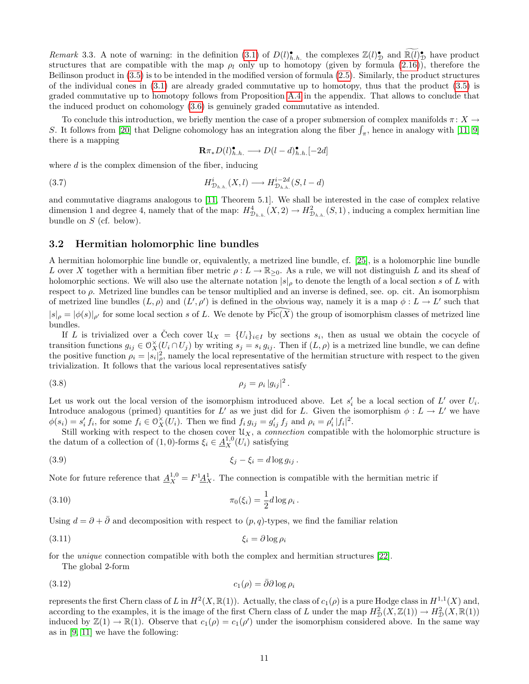Remark 3.3. A note of warning: in the definition [\(3.1\)](#page-9-1) of  $D(l)_{h,h}^{\bullet}$  the complexes  $\mathbb{Z}(l)_{\mathcal{D}}^{\bullet}$  and  $\mathbb{R}(l)_{\mathcal{D}}^{\bullet}$  have product structures that are compatible with the map  $\rho_l$  only up to homotopy (given by formula [\(2.16\)](#page-6-4)), therefore the Beĭlinson product in  $(3.5)$  is to be intended in the modified version of formula  $(2.5)$ . Similarly, the product structures of the individual cones in [\(3.1\)](#page-9-1) are already graded commutative up to homotopy, thus that the product [\(3.5\)](#page-9-3) is graded commutative up to homotopy follows from Proposition [A.4](#page-27-7) in the appendix. That allows to conclude that the induced product on cohomology [\(3.6\)](#page-9-4) is genuinely graded commutative as intended.

To conclude this introduction, we briefly mention the case of a proper submersion of complex manifolds  $\pi: X \to$ S. It follows from [\[20\]](#page-28-17) that Deligne cohomology has an integration along the fiber  $\int_{\pi}$ , hence in analogy with [\[11,](#page-28-8) [9\]](#page-28-4) there is a mapping

<span id="page-10-5"></span>
$$
\mathbf{R}\pi_* D(l)_{h.h.}^{\bullet} \longrightarrow D(l-d)_{h.h.}^{\bullet}[-2d]
$$

where  $d$  is the complex dimension of the fiber, inducing

(3.7) 
$$
H_{\mathcal{D}_{h.h.}}^{i}(X,l) \longrightarrow H_{\mathcal{D}_{h.h.}}^{i-2d}(S,l-d)
$$

and commutative diagrams analogous to [\[11,](#page-28-8) Theorem 5.1]. We shall be interested in the case of complex relative dimension 1 and degree 4, namely that of the map:  $H_{\mathcal{D}_{h,h}}^4(X,2) \to H_{\mathcal{D}_{h,h}}^2(S,1)$ , inducing a complex hermitian line bundle on  $S$  (cf. below).

### <span id="page-10-0"></span>3.2 Hermitian holomorphic line bundles

A hermitian holomorphic line bundle or, equivalently, a metrized line bundle, cf. [\[25\]](#page-28-11), is a holomorphic line bundle L over X together with a hermitian fiber metric  $\rho: L \to \mathbb{R}_{\geq 0}$ . As a rule, we will not distinguish L and its sheaf of holomorphic sections. We will also use the alternate notation  $|s|_p$  to denote the length of a local section s of L with respect to  $\rho$ . Metrized line bundles can be tensor multiplied and an inverse is defined, see. op. cit. An isomorphism of metrized line bundles  $(L, \rho)$  and  $(L', \rho')$  is defined in the obvious way, namely it is a map  $\phi : L \to L'$  such that  $|s|_\rho = |\phi(s)|_{\rho'}$  for some local section s of L. We denote by  $\text{Pic}(X)$  the group of isomorphism classes of metrized line bundles.

If L is trivialized over a Cech cover  $\mathcal{U}_X = \{U_i\}_{i \in I}$  by sections  $s_i$ , then as usual we obtain the cocycle of transition functions  $g_{ij} \in \mathcal{O}_X^{\times}(U_i \cap U_j)$  by writing  $s_j = s_i g_{ij}$ . Then if  $(L, \rho)$  is a metrized line bundle, we can define the positive function  $\rho_i = |s_i|^2$ , namely the local representative of the hermitian structure with respect to the given trivialization. It follows that the various local representatives satisfy

(3.8) 
$$
\rho_j = \rho_i |g_{ij}|^2.
$$

Let us work out the local version of the isomorphism introduced above. Let  $s_i'$  be a local section of  $L'$  over  $U_i$ . Introduce analogous (primed) quantities for L' as we just did for L. Given the isomorphism  $\phi: L \to L'$  we have  $\phi(s_i) = s'_i f_i$ , for some  $f_i \in \mathcal{O}_X^{\times}(U_i)$ . Then we find  $f_i g_{ij} = g'_{ij} f_j$  and  $\rho_i = \rho'_i |f_i|^2$ .

Still working with respect to the chosen cover  $\mathcal{U}_X$ , a *connection* compatible with the holomorphic structure is the datum of a collection of  $(1,0)$ -forms  $\xi_i \in \underline{A}_X^{1,0}(U_i)$  satisfying

<span id="page-10-4"></span><span id="page-10-3"></span><span id="page-10-1"></span>.

$$
\xi_j - \xi_i = d \log g_{ij}.
$$

Note for future reference that  $\underline{A}_X^{1,0} = F^1 \underline{A}_X^1$ . The connection is compatible with the hermitian metric if

$$
\pi_0(\xi_i) = \frac{1}{2}d\log\rho_i
$$

Using  $d = \partial + \overline{\partial}$  and decomposition with respect to  $(p, q)$ -types, we find the familiar relation

$$
\xi_i = \partial \log \rho_i
$$

for the unique connection compatible with both the complex and hermitian structures [\[22\]](#page-28-18).

The global 2-form

$$
(3.12)\qquad \qquad c_1(\rho) = \bar{\partial}\partial\log\rho_i
$$

<span id="page-10-2"></span>represents the first Chern class of L in  $H^2(X,\mathbb{R}(1))$ . Actually, the class of  $c_1(\rho)$  is a pure Hodge class in  $H^{1,1}(X)$  and, according to the examples, it is the image of the first Chern class of L under the map  $H^2_{\mathcal{D}}(X,\mathbb{Z}(1)) \to H^2_{\mathcal{D}}(X,\mathbb{R}(1))$ induced by  $\mathbb{Z}(1) \to \mathbb{R}(1)$ . Observe that  $c_1(\rho) = c_1(\rho')$  under the isomorphism considered above. In the same way as in [\[9,](#page-28-4) [11\]](#page-28-8) we have the following: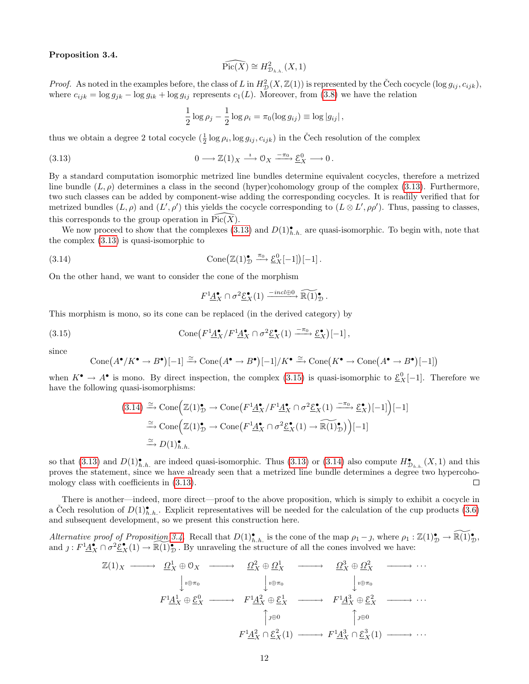#### Proposition 3.4.

<span id="page-11-0"></span>
$$
\widehat{\mathrm{Pic}(X)} \cong H^2_{\mathcal{D}_{h.h.}}(X, 1)
$$

*Proof.* As noted in the examples before, the class of L in  $H_D^2(X, \mathbb{Z}(1))$  is represented by the Čech cocycle  $(\log g_{ij}, c_{ijk})$ , where  $c_{ijk} = \log g_{jk} - \log g_{ik} + \log g_{ij}$  represents  $c_1(L)$ . Moreover, from [\(3.8\)](#page-10-1) we have the relation

$$
\frac{1}{2}\log\rho_j - \frac{1}{2}\log\rho_i = \pi_0(\log g_{ij}) \equiv \log|g_{ij}|,
$$

thus we obtain a degree 2 total cocycle  $(\frac{1}{2} \log \rho_i, \log g_{ij}, c_{ijk})$  in the Čech resolution of the complex

(3.13) 
$$
0 \longrightarrow \mathbb{Z}(1)_X \xrightarrow{\iota} \mathbb{O}_X \xrightarrow{-\pi_0} \underline{\mathcal{E}}_X^0 \longrightarrow 0.
$$

By a standard computation isomorphic metrized line bundles determine equivalent cocycles, therefore a metrized line bundle  $(L, \rho)$  determines a class in the second (hyper)cohomology group of the complex [\(3.13\)](#page-11-0). Furthermore, two such classes can be added by component-wise adding the corresponding cocycles. It is readily verified that for metrized bundles  $(L, \rho)$  and  $(L', \rho')$  this yields the cocycle corresponding to  $(L \otimes L', \rho \rho')$ . Thus, passing to classes, this corresponds to the group operation in  $Pic(X)$ .

We now proceed to show that the complexes  $(3.13)$  and  $D(1)_{h.h.}^{\bullet}$  are quasi-isomorphic. To begin with, note that the complex [\(3.13\)](#page-11-0) is quasi-isomorphic to

(3.14) 
$$
\text{Cone}\big(\mathbb{Z}(1)_{\mathcal{D}}^{\bullet} \xrightarrow{\pi_0} \underline{\mathcal{E}}_{X}^{0}[-1]\big)[-1].
$$

On the other hand, we want to consider the cone of the morphism

<span id="page-11-2"></span><span id="page-11-1"></span>
$$
F^1 \underline{A}_{X}^{\bullet} \cap \sigma^2 \underline{\mathcal{E}}_{X}^{\bullet}(1) \xrightarrow{-incl \oplus 0} \widetilde{\mathbb{R}(1)}_{\mathcal{D}}^{\bullet}.
$$

This morphism is mono, so its cone can be replaced (in the derived category) by

(3.15) 
$$
\text{Cone}\left(F^1 \underline{A}_X^{\bullet}/F^1 \underline{A}_X^{\bullet} \cap \sigma^2 \underline{\mathcal{E}}_X^{\bullet}(1) \xrightarrow{-\pi_0} \underline{\mathcal{E}}_X^{\bullet}\right)[-1],
$$

since

$$
\text{Cone}(A^{\bullet}/K^{\bullet} \to B^{\bullet})[-1] \xrightarrow{\simeq} \text{Cone}(A^{\bullet} \to B^{\bullet})[-1]/K^{\bullet} \xrightarrow{\simeq} \text{Cone}(K^{\bullet} \to \text{Cone}(A^{\bullet} \to B^{\bullet})[-1])
$$

when  $K^{\bullet} \to A^{\bullet}$  is mono. By direct inspection, the complex [\(3.15\)](#page-11-1) is quasi-isomorphic to  $\underline{\mathcal{E}}_{X}^{0}[-1]$ . Therefore we have the following quasi-isomorphisms:

$$
(3.14) \xrightarrow{\simeq} \text{Cone} \Big( \mathbb{Z}(1)_{\mathcal{D}}^{\bullet} \to \text{Cone} \big( F^{1} \underline{A}_{X}^{\bullet} / F^{1} \underline{A}_{X}^{\bullet} \cap \sigma^{2} \underline{\mathcal{E}}_{X}^{\bullet} (1) \xrightarrow{\pi_{0}} \underline{\mathcal{E}}_{X}^{\bullet} \big) [-1] \Big) [-1]
$$
  
\n
$$
\xrightarrow{\simeq} \text{Cone} \Big( \mathbb{Z}(1)_{\mathcal{D}}^{\bullet} \to \text{Cone} \big( F^{1} \underline{A}_{X}^{\bullet} \cap \sigma^{2} \underline{\mathcal{E}}_{X}^{\bullet} (1) \to \widetilde{\mathbb{R}(1)_{\mathcal{D}}^{\bullet}} \big) \Big) [-1]
$$
  
\n
$$
\xrightarrow{\simeq} D(1)_{h.h.}^{\bullet}
$$

so that [\(3.13\)](#page-11-0) and  $D(1)_{h,h.}^{\bullet}$  are indeed quasi-isomorphic. Thus (3.13) or [\(3.14\)](#page-11-2) also compute  $H_{\mathcal{D}_{h,h.}}^{\bullet}(X,1)$  and this proves the statement, since we have already seen that a metrized line bundle determines a degree two hypercohomology class with coefficients in [\(3.13\)](#page-11-0).  $\Box$ 

There is another—indeed, more direct—proof to the above proposition, which is simply to exhibit a cocycle in a Čech resolution of  $D(1)_{h,h}^{\bullet}$ . Explicit representatives will be needed for the calculation of the cup products [\(3.6\)](#page-9-4) and subsequent development, so we present this construction here.

Alternative proof of Proposition [3.4.](#page-10-2) Recall that  $D(1)_{h,h}^{\bullet}$  is the cone of the map  $\rho_1 - j$ , where  $\rho_1 : \mathbb{Z}(1)_{\mathcal{D}}^{\bullet} \to \widetilde{\mathbb{R}(1)_{\mathcal{D}}}^{\bullet}$ , and  $j: F^1 \underline{A_X}^n \cap \sigma^2 \underline{\mathcal{E}_X}^n(1) \to \mathbb{R}(1)_D^n$ . By unraveling the structure of all the cones involved we have:

$$
\mathbb{Z}(1)_X \longrightarrow \Omega_X^1 \oplus 0_X \longrightarrow \Omega_X^2 \oplus \Omega_X^1 \longrightarrow \Omega_X^3 \oplus \Omega_X^2 \longrightarrow \cdots
$$
  
\n
$$
\downarrow_{\iota \oplus \pi_0} \qquad \qquad \downarrow_{\iota \oplus \pi_0} \qquad \qquad \downarrow_{\iota \oplus \pi_0} \qquad \qquad \downarrow_{\iota \oplus \pi_0}
$$
  
\n
$$
F^1 \underline{A}_X^1 \oplus \underline{\mathcal{E}}_X^0 \longrightarrow F^1 \underline{A}_X^2 \oplus \underline{\mathcal{E}}_X^1 \longrightarrow F^1 \underline{A}_X^3 \oplus \underline{\mathcal{E}}_X^2 \longrightarrow \cdots
$$
  
\n
$$
\uparrow_{\iota \oplus \pi_0} \qquad \qquad \uparrow_{\iota \oplus \pi_0} \qquad \uparrow_{\iota \oplus \pi_0}
$$
  
\n
$$
F^1 \underline{A}_X^2 \cap \underline{\mathcal{E}}_X^2(1) \longrightarrow F^1 \underline{A}_X^3 \cap \underline{\mathcal{E}}_X^3(1) \longrightarrow \cdots
$$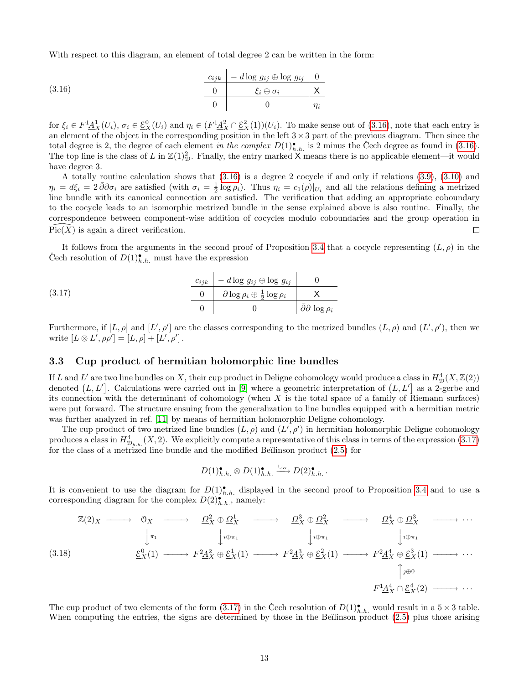<span id="page-12-1"></span>With respect to this diagram, an element of total degree 2 can be written in the form:

(3.16) 
$$
\begin{array}{c|c|c}\n\hline\nc_{ijk} & -d \log g_{ij} \oplus \log g_{ij} & 0 \\
\hline\n0 & \xi_i \oplus \sigma_i & \chi \\
\hline\n0 & 0 & \eta_i\n\end{array}
$$

for  $\xi_i \in F^1 \underline{A}_X^1(U_i)$ ,  $\sigma_i \in \underline{\mathcal{E}}_X^0(U_i)$  and  $\eta_i \in (F^1 \underline{A}_X^2 \cap \underline{\mathcal{E}}_X^2(1))(U_i)$ . To make sense out of  $(3.16)$ , note that each entry is an element of the object in the corresponding position in the left  $3 \times 3$  part of the previous diagram. Then since the total degree is 2, the degree of each element in the complex  $D(1)_{h.h.}^{\bullet}$  is 2 minus the Čech degree as found in [\(3.16\)](#page-12-1). The top line is the class of L in  $\mathbb{Z}(1)_\mathcal{D}^2$ . Finally, the entry marked X means there is no applicable element—it would have degree 3.

A totally routine calculation shows that [\(3.16\)](#page-12-1) is a degree 2 cocycle if and only if relations [\(3.9\)](#page-10-3), [\(3.10\)](#page-10-4) and  $\eta_i = d\xi_i = 2\bar{\partial}\partial\sigma_i$  are satisfied (with  $\sigma_i = \frac{1}{2}\log\rho_i$ ). Thus  $\eta_i = c_1(\rho)|_{U_i}$  and all the relations defining a metrized line bundle with its canonical connection are satisfied. The verification that adding an appropriate coboundary to the cocycle leads to an isomorphic metrized bundle in the sense explained above is also routine. Finally, the correspondence between component-wise addition of cocycles modulo coboundaries and the group operation in  $Pic(X)$  is again a direct verification. П

<span id="page-12-2"></span>It follows from the arguments in the second proof of Proposition [3.4](#page-10-2) that a cocycle representing  $(L, \rho)$  in the Čech resolution of  $D(1)_{h.h.}^{\bullet}$  must have the expression

(3.17) 
$$
\begin{array}{c|c|c}\n c_{ijk} & -d \log g_{ij} & \log g_{ij} & 0 \\
\hline\n0 & \partial \log \rho_i \oplus \frac{1}{2} \log \rho_i & X \\
0 & 0 & \bar{\partial} \partial \log \rho_i\n\end{array}
$$

Furthermore, if  $[L, \rho]$  and  $[L', \rho']$  are the classes corresponding to the metrized bundles  $(L, \rho)$  and  $(L', \rho')$ , then we write  $[L \otimes L', \rho \rho'] = [L, \rho] + [L', \rho']$ .

### <span id="page-12-0"></span>3.3 Cup product of hermitian holomorphic line bundles

If L and L' are two line bundles on X, their cup product in Deligne cohomology would produce a class in  $H^4_{\mathcal{D}}(X,\mathbb{Z}(2))$ denoted  $(L, L']$ . Calculations were carried out in [\[9\]](#page-28-4) where a geometric interpretation of  $(L, L']$  as a 2-gerbe and its connection with the determinant of cohomology (when  $X$  is the total space of a family of Riemann surfaces) were put forward. The structure ensuing from the generalization to line bundles equipped with a hermitian metric was further analyzed in ref. [\[11\]](#page-28-8) by means of hermitian holomorphic Deligne cohomology.

The cup product of two metrized line bundles  $(L, \rho)$  and  $(L', \rho')$  in hermitian holomorphic Deligne cohomology produces a class in  $H_{\mathcal{D}_{h,h}}^4(X,2)$ . We explicitly compute a representative of this class in terms of the expression  $(3.17)$ for the class of a metrized line bundle and the modified Be $\tilde{E}$  linson product  $(2.5)$  for

<span id="page-12-3"></span>
$$
D(1)_{h.h.}^{\bullet} \otimes D(1)_{h.h.}^{\bullet} \xrightarrow{\cup_{\alpha}} D(2)_{h.h.}^{\bullet}.
$$

It is convenient to use the diagram for  $D(1)_{h,h}^{\bullet}$  displayed in the second proof to Proposition [3.4](#page-10-2) and to use a corresponding diagram for the complex  $D(2)$ <sup>\*\*\*\*</sup>, namely:

$$
\mathbb{Z}(2)_X \longrightarrow \mathbb{O}_X \longrightarrow \mathbb{Q}_X^2 \oplus \mathbb{Q}_X^1 \longrightarrow \mathbb{Q}_X^3 \oplus \mathbb{Q}_X^2 \longrightarrow \mathbb{Q}_X^4 \oplus \mathbb{Q}_X^3 \longrightarrow \cdots
$$
\n
$$
\downarrow_{\pi_1} \qquad \qquad \downarrow_{\psi \oplus \pi_1} \qquad \qquad \downarrow_{\psi \oplus \pi_1} \qquad \qquad \downarrow_{\psi \oplus \pi_1} \qquad \qquad \downarrow_{\psi \oplus \pi_1}
$$
\n
$$
\mathbb{E}_X^0(1) \longrightarrow F^2 \mathbb{A}_X^2 \oplus \mathbb{E}_X^1(1) \longrightarrow F^2 \mathbb{A}_X^3 \oplus \mathbb{E}_X^2(1) \longrightarrow F^2 \mathbb{A}_X^4 \oplus \mathbb{E}_X^3(1) \longrightarrow \cdots
$$
\n
$$
\uparrow_{\mathcal{P}} \oplus \qquad \qquad \downarrow_{\psi \oplus \pi_1} \qquad \qquad \downarrow_{\psi \oplus \pi_1} \qquad \qquad \downarrow_{\psi \oplus \pi_1} \qquad \qquad \downarrow_{\psi \oplus \pi_1} \qquad \qquad \downarrow_{\psi \oplus \pi_1} \qquad \qquad \downarrow_{\psi \oplus \pi_1} \qquad \qquad \downarrow_{\psi \oplus \pi_1} \qquad \qquad \downarrow_{\psi \oplus \pi_1} \qquad \qquad \downarrow_{\psi \oplus \pi_1} \qquad \qquad \downarrow_{\psi \oplus \pi_1} \qquad \qquad \downarrow_{\psi \oplus \pi_1} \qquad \qquad \downarrow_{\psi \oplus \pi_1} \qquad \qquad \downarrow_{\psi \oplus \pi_1} \qquad \qquad \downarrow_{\psi \oplus \pi_1} \qquad \qquad \downarrow_{\psi \oplus \pi_1} \qquad \qquad \downarrow_{\psi \oplus \pi_1} \qquad \qquad \downarrow_{\psi \oplus \pi_1} \qquad \qquad \downarrow_{\psi \oplus \pi_1} \qquad \qquad \downarrow_{\psi \oplus \pi_1} \qquad \qquad \downarrow_{\psi \oplus \pi_1} \qquad \qquad \downarrow_{\psi \oplus \pi_1} \qquad \qquad \downarrow_{\psi \oplus \
$$

The cup product of two elements of the form [\(3.17\)](#page-12-2) in the Čech resolution of  $D(1)_{h,h}^{\bullet}$  would result in a  $5 \times 3$  table. When computing the entries, the signs are determined by those in the Beĭlinson product [\(2.5\)](#page-5-1) plus those arising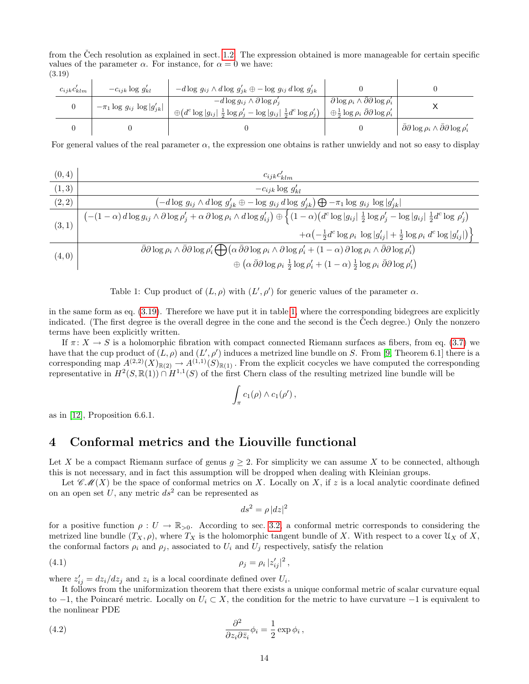from the Čech resolution as explained in sect. [1.2.](#page-3-0) The expression obtained is more manageable for certain specific values of the parameter  $\alpha$ . For instance, for  $\alpha = 0$  we have: (3.19)

<span id="page-13-1"></span>

| $c_{ijk}c_{klm}$ | $-c_{ijk} \log g'_{kl}$             | $-d \log g_{ij} \wedge d \log g'_{jk} \oplus -\log g_{ij} d \log g'_{jk}$                                                                             |                                                                                                                                         |                                                                           |
|------------------|-------------------------------------|-------------------------------------------------------------------------------------------------------------------------------------------------------|-----------------------------------------------------------------------------------------------------------------------------------------|---------------------------------------------------------------------------|
|                  | $-\pi_1 \log g_{ij} \log  g'_{jk} $ | $-d\log g_{ij} \wedge \partial \log \rho'_i$<br>$\bigoplus (d^c \log  g_{ij}  \frac{1}{2} \log \rho'_j - \log  g_{ij}  \frac{1}{2} d^c \log \rho'_j)$ | $\partial \log \rho_i \wedge \partial \partial \log \rho'_i$<br>$\oplus \frac{1}{2} \log \rho_i \ \bar{\partial} \partial \log \rho'_i$ |                                                                           |
|                  |                                     |                                                                                                                                                       |                                                                                                                                         | $\bar{\partial}\partial\log\rho_i\wedge\bar{\partial}\partial\log\rho'_i$ |

For general values of the real parameter  $\alpha$ , the expression one obtains is rather unwieldy and not so easy to display

$$
\begin{array}{c|c}\n(0,4) & c_{ijk}c'_{klm} \\
\hline\n(1,3) & -c_{ijk}\log g'_{kl} \\
\hline\n(2,2) & \left(-d\log g_{ij}\wedge d\log g'_{jk}\oplus -\log g_{ij}\,d\log g'_{jk}\right)\bigoplus -\pi_1\log g_{ij}\,\log|g'_{jk}| \\
\hline\n(3,1) & \left(-(1-\alpha)\,d\log g_{ij}\wedge \partial\log \rho'_j + \alpha\,\partial\log \rho_i\wedge d\log g'_{ij}\right)\oplus \left\{\left(1-\alpha\right)\left(d^c\log|g_{ij}|\right)\frac{1}{2}\log \rho'_j - \log|g_{ij}|\right)\frac{1}{2}d^c\log \rho'_j\right\} \\
\hline\n(4,0) & \bar{\partial}\partial\log \rho_i\wedge \bar{\partial}\partial\log \rho'_i \bigoplus \left(\alpha\,\bar{\partial}\partial\log \rho_i\wedge \partial\log \rho'_i + (1-\alpha)\,\partial\log \rho_i\wedge \bar{\partial}\partial\log \rho'_i\right) \\
\hline\n\phi\left(\alpha\,\bar{\partial}\partial\log \rho_i\frac{1}{2}\log \rho'_i + (1-\alpha)\frac{1}{2}\log \rho_i\,\bar{\partial}\partial\log \rho'_i\right)\n\end{array}
$$

<span id="page-13-2"></span>Table 1: Cup product of  $(L, \rho)$  with  $(L', \rho')$  for generic values of the parameter  $\alpha$ .

in the same form as eq. [\(3.19\)](#page-13-1). Therefore we have put it in table [1,](#page-13-2) where the corresponding bidegrees are explicitly indicated. (The first degree is the overall degree in the cone and the second is the Cech degree.) Only the nonzero terms have been explicitly written.

If  $\pi: X \to S$  is a holomorphic fibration with compact connected Riemann surfaces as fibers, from eq. [\(3.7\)](#page-10-5) we have that the cup product of  $(L, \rho)$  and  $(L', \rho')$  induces a metrized line bundle on S. From [\[9,](#page-28-4) Theorem 6.1] there is a corresponding map  $A^{(2,2)}(X)_{\mathbb{R}(2)} \to A^{(1,1)}(S)_{\mathbb{R}(1)}$ . From the explicit cocycles we have computed the corresponding representative in  $H^2(S,\mathbb{R}(1)) \cap H^{1,1}(S)$  of the first Chern class of the resulting metrized line bundle will be

$$
\int_{\pi} c_1(\rho) \wedge c_1(\rho') ,
$$

as in [\[12\]](#page-28-9), Proposition 6.6.1.

# <span id="page-13-0"></span>4 Conformal metrics and the Liouville functional

Let X be a compact Riemann surface of genus  $q \geq 2$ . For simplicity we can assume X to be connected, although this is not necessary, and in fact this assumption will be dropped when dealing with Kleinian groups.

Let  $\mathscr{CH}(X)$  be the space of conformal metrics on X. Locally on X, if z is a local analytic coordinate defined on an open set U, any metric  $ds^2$  can be represented as

<span id="page-13-4"></span>
$$
ds^2 = \rho \, |dz|^2
$$

for a positive function  $\rho: U \to \mathbb{R}_{>0}$ . According to sec. [3.2,](#page-10-0) a conformal metric corresponds to considering the metrized line bundle  $(T_X, \rho)$ , where  $T_X$  is the holomorphic tangent bundle of X. With respect to a cover  $\mathfrak{U}_X$  of X, the conformal factors  $\rho_i$  and  $\rho_j$ , associated to  $U_i$  and  $U_j$  respectively, satisfy the relation

$$
\rho_j = \rho_i |z'_{ij}|^2,
$$

where  $z'_{ij} = dz_i/dz_j$  and  $z_i$  is a local coordinate defined over  $U_i$ .

<span id="page-13-3"></span>It follows from the uniformization theorem that there exists a unique conformal metric of scalar curvature equal to  $-1$ , the Poincaré metric. Locally on  $U_i$  ⊂ X, the condition for the metric to have curvature  $-1$  is equivalent to the nonlinear PDE

(4.2) 
$$
\frac{\partial^2}{\partial z_i \partial \bar{z}_i} \phi_i = \frac{1}{2} \exp \phi_i ,
$$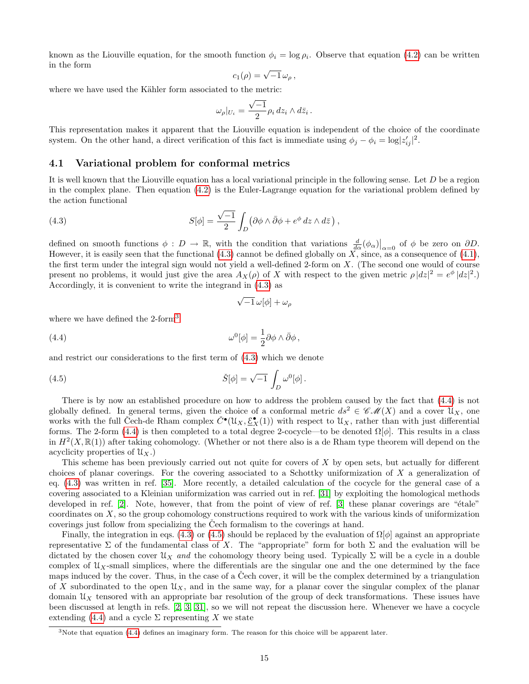known as the Liouville equation, for the smooth function  $\phi_i = \log \rho_i$ . Observe that equation [\(4.2\)](#page-13-3) can be written in the form

$$
c_1(\rho) = \sqrt{-1} \,\omega_\rho\,,
$$

where we have used the Kähler form associated to the metric:

$$
\omega_{\rho}|_{U_i} = \frac{\sqrt{-1}}{2} \rho_i \, dz_i \wedge d\bar{z}_i \, .
$$

This representation makes it apparent that the Liouville equation is independent of the choice of the coordinate system. On the other hand, a direct verification of this fact is immediate using  $\phi_j - \phi_i = \log |z'_{ij}|^2$ .

#### <span id="page-14-0"></span>4.1 Variational problem for conformal metrics

It is well known that the Liouville equation has a local variational principle in the following sense. Let  $D$  be a region in the complex plane. Then equation [\(4.2\)](#page-13-3) is the Euler-Lagrange equation for the variational problem defined by the action functional

<span id="page-14-1"></span>(4.3) 
$$
S[\phi] = \frac{\sqrt{-1}}{2} \int_D (\partial \phi \wedge \bar{\partial} \phi + e^{\phi} dz \wedge d\bar{z}),
$$

defined on smooth functions  $\phi : D \to \mathbb{R}$ , with the condition that variations  $\frac{d}{d\alpha}(\phi_\alpha)|_{\alpha=0}$  of  $\phi$  be zero on  $\partial D$ . However, it is easily seen that the functional  $(4.3)$  cannot be defined globally on X, since, as a consequence of  $(4.1)$ , the first term under the integral sign would not yield a well-defined 2-form on X. (The second one would of course present no problems, it would just give the area  $A_X(\rho)$  of X with respect to the given metric  $\rho |dz|^2 = e^{\phi} |dz|^2$ . Accordingly, it is convenient to write the integrand in [\(4.3\)](#page-14-1) as

<span id="page-14-4"></span><span id="page-14-3"></span>
$$
\sqrt{-1}\,\omega[\phi]+\omega_\rho
$$

where we have defined the 2-form<sup>[3](#page-14-2)</sup>

(4.4) 
$$
\omega^0[\phi] = \frac{1}{2}\partial\phi\wedge\bar{\partial}\phi\,,
$$

and restrict our considerations to the first term of [\(4.3\)](#page-14-1) which we denote

(4.5) 
$$
\check{S}[\phi] = \sqrt{-1} \int_D \omega^0[\phi].
$$

There is by now an established procedure on how to address the problem caused by the fact that [\(4.4\)](#page-14-3) is not globally defined. In general terms, given the choice of a conformal metric  $ds^2 \in \mathscr{CM}(X)$  and a cover  $\mathfrak{U}_X$ , one works with the full Cech-de Rham complex  $\check{C}^{\bullet}(\mathcal{U}_X, \underline{\mathcal{E}}_X^{\bullet}(1))$  with respect to  $\mathcal{U}_X$ , rather than with just differential forms. The 2-form [\(4.4\)](#page-14-3) is then completed to a total degree 2-cocycle—to be denoted  $\Omega[\phi]$ . This results in a class in  $H^2(X,\mathbb{R}(1))$  after taking cohomology. (Whether or not there also is a de Rham type theorem will depend on the acyclicity properties of  $\mathfrak{U}_X$ .)

This scheme has been previously carried out not quite for covers of X by open sets, but actually for different choices of planar coverings. For the covering associated to a Schottky uniformization of  $X$  a generalization of eq. [\(4.3\)](#page-14-1) was written in ref. [\[35\]](#page-29-1). More recently, a detailed calculation of the cocycle for the general case of a covering associated to a Kleinian uniformization was carried out in ref. [\[31\]](#page-29-2) by exploiting the homological methods developed in ref.  $[2]$ . Note, however, that from the point of view of ref.  $[3]$  these planar coverings are " $\acute{e}$ tale" coordinates on X, so the group cohomology constructions required to work with the various kinds of uniformization coverings just follow from specializing the Cech formalism to the coverings at hand.

Finally, the integration in eqs. [\(4.3\)](#page-14-1) or [\(4.5\)](#page-14-4) should be replaced by the evaluation of  $\Omega[\phi]$  against an appropriate representative  $\Sigma$  of the fundamental class of X. The "appropriate" form for both  $\Sigma$  and the evaluation will be dictated by the chosen cover  $\mathfrak{U}_X$  and the cohomology theory being used. Typically  $\Sigma$  will be a cycle in a double complex of  $\mathcal{U}_X$ -small simplices, where the differentials are the singular one and the one determined by the face maps induced by the cover. Thus, in the case of a Cech cover, it will be the complex determined by a triangulation of X subordinated to the open  $\mathfrak{U}_X$ , and in the same way, for a planar cover the singular complex of the planar domain  $\mathfrak{U}_X$  tensored with an appropriate bar resolution of the group of deck transformations. These issues have been discussed at length in refs. [\[2,](#page-27-2) [3,](#page-27-3) [31\]](#page-29-2), so we will not repeat the discussion here. Whenever we have a cocycle extending [\(4.4\)](#page-14-3) and a cycle  $\Sigma$  representing X we state

<span id="page-14-5"></span><span id="page-14-2"></span> $3$ Note that equation [\(4.4\)](#page-14-3) defines an imaginary form. The reason for this choice will be apparent later.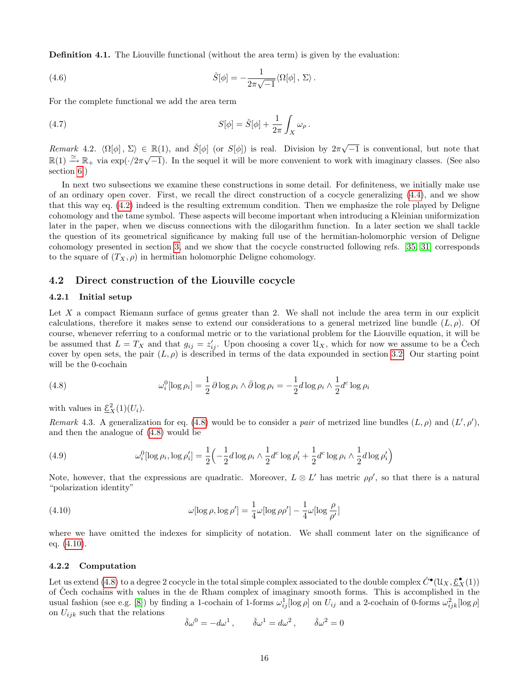<span id="page-15-6"></span>Definition 4.1. The Liouville functional (without the area term) is given by the evaluation:

(4.6) 
$$
\check{S}[\phi] = -\frac{1}{2\pi\sqrt{-1}} \langle \Omega[\phi], \Sigma \rangle.
$$

<span id="page-15-3"></span>For the complete functional we add the area term

(4.7) 
$$
S[\phi] = \check{S}[\phi] + \frac{1}{2\pi} \int_X \omega_\rho.
$$

Remark 4.2.  $\langle \Omega[\phi], \Sigma \rangle \in \mathbb{R}(1)$ , and  $\check{S}[\phi]$  (or  $S[\phi]$ ) is real. Division by  $2\pi\sqrt{-1}$  is conventional, but note that  $\mathbb{R}(1) \stackrel{\simeq}{\to} \mathbb{R}_+$  via  $\exp(\cdot/2\pi\sqrt{-1})$ . In the sequel it will be more convenient to work with imaginary classes. (See also section [6.](#page-21-0))

In next two subsections we examine these constructions in some detail. For definiteness, we initially make use of an ordinary open cover. First, we recall the direct construction of a cocycle generalizing [\(4.4\)](#page-14-3), and we show that this way eq. [\(4.2\)](#page-13-3) indeed is the resulting extremum condition. Then we emphasize the role played by Deligne cohomology and the tame symbol. These aspects will become important when introducing a Kleinian uniformization later in the paper, when we discuss connections with the dilogarithm function. In a later section we shall tackle the question of its geometrical significance by making full use of the hermitian-holomorphic version of Deligne cohomology presented in section [3,](#page-8-0) and we show that the cocycle constructed following refs. [\[35,](#page-29-1) [31\]](#page-29-2) corresponds to the square of  $(T_X, \rho)$  in hermitian holomorphic Deligne cohomology.

#### <span id="page-15-0"></span>4.2 Direct construction of the Liouville cocycle

#### 4.2.1 Initial setup

Let  $X$  a compact Riemann surface of genus greater than 2. We shall not include the area term in our explicit calculations, therefore it makes sense to extend our considerations to a general metrized line bundle  $(L, \rho)$ . Of course, whenever referring to a conformal metric or to the variational problem for the Liouville equation, it will be be assumed that  $L = T_X$  and that  $g_{ij} = z'_{ij}$ . Upon choosing a cover  $\mathcal{U}_X$ , which for now we assume to be a Čech cover by open sets, the pair  $(L, \rho)$  is described in terms of the data expounded in section [3.2.](#page-10-0) Our starting point will be the 0-cochain

<span id="page-15-1"></span>(4.8) 
$$
\omega_i^0[\log \rho_i] = \frac{1}{2} \partial \log \rho_i \wedge \bar{\partial} \log \rho_i = -\frac{1}{2} d \log \rho_i \wedge \frac{1}{2} d^c \log \rho_i
$$

with values in  $\underline{\mathcal{E}}_X^2(1)(U_i)$ .

<span id="page-15-5"></span><span id="page-15-4"></span>Remark 4.3. A generalization for eq. [\(4.8\)](#page-15-1) would be to consider a pair of metrized line bundles  $(L, \rho)$  and  $(L', \rho')$ , and then the analogue of [\(4.8\)](#page-15-1) would be

(4.9) 
$$
\omega_i^0[\log \rho_i, \log \rho_i'] = \frac{1}{2} \left( -\frac{1}{2} d \log \rho_i \wedge \frac{1}{2} d^c \log \rho_i' + \frac{1}{2} d^c \log \rho_i \wedge \frac{1}{2} d \log \rho_i' \right)
$$

<span id="page-15-2"></span>Note, however, that the expressions are quadratic. Moreover,  $L \otimes L'$  has metric  $\rho \rho'$ , so that there is a natural "polarization identity"

(4.10) 
$$
\omega[\log \rho, \log \rho'] = \frac{1}{4}\omega[\log \rho \rho'] - \frac{1}{4}\omega[\log \frac{\rho}{\rho'}]
$$

where we have omitted the indexes for simplicity of notation. We shall comment later on the significance of eq. [\(4.10\)](#page-15-2).

#### 4.2.2 Computation

Let us extend [\(4.8\)](#page-15-1) to a degree 2 cocycle in the total simple complex associated to the double complex  $\check{C}^\bullet(\mathfrak{U}_X,\underline{\mathcal{E}}^\bullet_X(1))$ of Cech cochains with values in the de Rham complex of imaginary smooth forms. This is accomplished in the usual fashion (see e.g. [\[8\]](#page-28-19)) by finding a 1-cochain of 1-forms  $\omega_{ij}^1[\log \rho]$  on  $U_{ij}$  and a 2-cochain of 0-forms  $\omega_{ijk}^2[\log \rho]$ on  $U_{ijk}$  such that the relations

$$
\check{\delta}\omega^0 = -d\omega^1, \qquad \check{\delta}\omega^1 = d\omega^2, \qquad \check{\delta}\omega^2 = 0
$$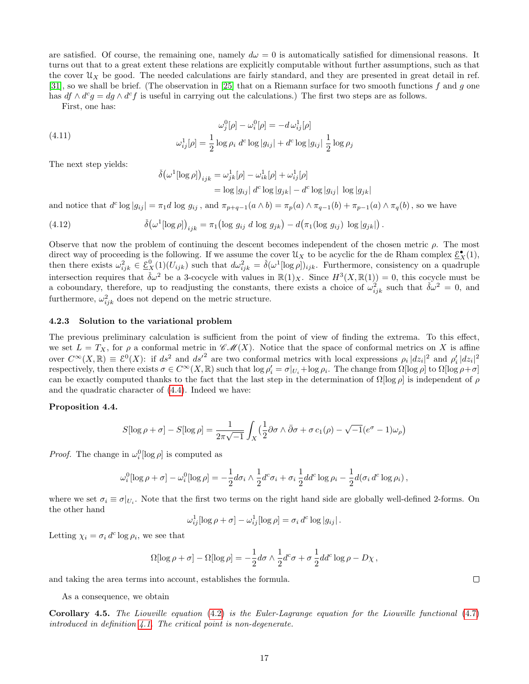are satisfied. Of course, the remaining one, namely  $d\omega = 0$  is automatically satisfied for dimensional reasons. It turns out that to a great extent these relations are explicitly computable without further assumptions, such as that the cover  $\mathfrak{U}_X$  be good. The needed calculations are fairly standard, and they are presented in great detail in ref. [\[31\]](#page-29-2), so we shall be brief. (The observation in [\[25\]](#page-28-11) that on a Riemann surface for two smooth functions f and g one has  $df \wedge d^c g = dg \wedge d^c f$  is useful in carrying out the calculations.) The first two steps are as follows.

First, one has:

(4.11) 
$$
\omega_j^0[\rho] - \omega_i^0[\rho] = -d\,\omega_{ij}^1[\rho] \omega_{ij}^1[\rho] = \frac{1}{2}\log\rho_i \ d^c\log|g_{ij}| + d^c\log|g_{ij}| \frac{1}{2}\log\rho_j
$$

The next step yields:

<span id="page-16-2"></span>
$$
\delta(\omega^1[\log \rho])_{ijk} = \omega_{jk}^1[\rho] - \omega_{ik}^1[\rho] + \omega_{ij}^1[\rho]
$$

$$
= \log|g_{ij}| d^c \log|g_{jk}| - d^c \log|g_{ij}| \log|g_{jk}|
$$

and notice that  $d^c \log |g_{ij}| = \pi_1 d \log g_{ij}$ , and  $\pi_{p+q-1}(a \wedge b) = \pi_p(a) \wedge \pi_{q-1}(b) + \pi_{p-1}(a) \wedge \pi_q(b)$ , so we have

(4.12) 
$$
\check{\delta}(\omega^1[\log \rho])_{ijk} = \pi_1(\log g_{ij} \ d \log g_{jk}) - d(\pi_1(\log g_{ij}) \ \log |g_{jk}|).
$$

Observe that now the problem of continuing the descent becomes independent of the chosen metric  $\rho$ . The most direct way of proceeding is the following. If we assume the cover  $\mathcal{U}_X$  to be acyclic for the de Rham complex  $\underline{\mathcal{E}}_X^{\bullet}(1)$ , then there exists  $\omega_{ijk}^2 \in \underline{\mathcal{E}}_X^0(1)(U_{ijk})$  such that  $d\omega_{ijk}^2 = \check{\delta}(\omega^1[\log \rho])_{ijk}$ . Furthermore, consistency on a quadruple intersection requires that  $\check{\delta}\omega^2$  be a 3-cocycle with values in  $\mathbb{R}(1)_X$ . Since  $H^3(X,\mathbb{R}(1)) = 0$ , this cocycle must be a coboundary, therefore, up to readjusting the constants, there exists a choice of  $\omega_{ijk}^2$  such that  $\check{\delta}\omega^2 = 0$ , and furthermore,  $\omega_{ijk}^2$  does not depend on the metric structure.

#### 4.2.3 Solution to the variational problem

The previous preliminary calculation is sufficient from the point of view of finding the extrema. To this effect, we set  $L = T_X$ , for  $\rho$  a conformal metric in  $\mathscr{CM}(X)$ . Notice that the space of conformal metrics on X is affine over  $C^{\infty}(X,\mathbb{R}) \equiv \mathcal{E}^0(X)$ : if  $ds^2$  and  $ds'^2$  are two conformal metrics with local expressions  $\rho_i |dz_i|^2$  and  $\rho'_i |dz_i|^2$ respectively, then there exists  $\sigma \in C^{\infty}(X,\mathbb{R})$  such that  $\log \rho_i' = \sigma|_{U_i} + \log \rho_i$ . The change from  $\Omega[\log \rho]$  to  $\Omega[\log \rho + \sigma]$ can be exactly computed thanks to the fact that the last step in the determination of  $\Omega[\log \rho]$  is independent of  $\rho$ and the quadratic character of [\(4.4\)](#page-14-3). Indeed we have:

#### <span id="page-16-0"></span>Proposition 4.4.

$$
S[\log \rho + \sigma] - S[\log \rho] = \frac{1}{2\pi\sqrt{-1}} \int_X \left(\frac{1}{2}\partial \sigma \wedge \bar{\partial} \sigma + \sigma c_1(\rho) - \sqrt{-1}(e^{\sigma} - 1)\omega_{\rho}\right)
$$

*Proof.* The change in  $\omega_i^0$ [log  $\rho$ ] is computed as

$$
\omega_i^0[\log \rho + \sigma] - \omega_i^0[\log \rho] = -\frac{1}{2}d\sigma_i \wedge \frac{1}{2}d^c\sigma_i + \sigma_i \frac{1}{2}dd^c\log \rho_i - \frac{1}{2}d(\sigma_i d^c\log \rho_i),
$$

where we set  $\sigma_i \equiv \sigma|_{U_i}$ . Note that the first two terms on the right hand side are globally well-defined 2-forms. On the other hand

$$
\omega_{ij}^1[\log \rho + \sigma] - \omega_{ij}^1[\log \rho] = \sigma_i d^c \log |g_{ij}|.
$$

Letting  $\chi_i = \sigma_i d^c \log \rho_i$ , we see that

$$
\Omega[\log \rho + \sigma] - \Omega[\log \rho] = -\frac{1}{2}d\sigma \wedge \frac{1}{2}d^c\sigma + \sigma \frac{1}{2}dd^c\log \rho - D\chi,
$$

and taking the area terms into account, establishes the formula.

As a consequence, we obtain

<span id="page-16-1"></span>Corollary 4.5. The Liouville equation [\(4.2\)](#page-13-3) is the Euler-Lagrange equation for the Liouville functional [\(4.7\)](#page-15-3) introduced in definition [4.1.](#page-14-5) The critical point is non-degenerate.

 $\Box$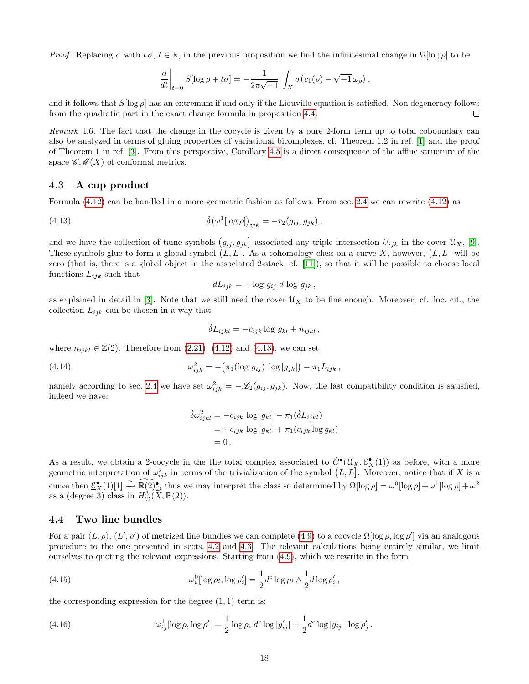Proof. Replacing  $\sigma$  with  $t\sigma, t \in \mathbb{R}$ , in the previous proposition we find the infinitesimal change in  $\Omega$ [log ρ] to be

$$
\frac{d}{dt}\bigg|_{t=0} S[\log \rho + t\sigma] = -\frac{1}{2\pi\sqrt{-1}} \int_X \sigma(c_1(\rho) - \sqrt{-1} \omega_\rho),
$$

and it follows that  $S[\log \rho]$  has an extremum if and only if the Liouville equation is satisfied. Non degeneracy follows from the quadratic part in the exact change formula in proposition [4.4.](#page-16-0)  $\Box$ 

Remark 4.6. The fact that the change in the cocycle is given by a pure 2-form term up to total coboundary can also be analyzed in terms of gluing properties of variational bicomplexes, cf. Theorem 1.2 in ref. [\[1\]](#page-27-1) and the proof of Theorem 1 in ref. [\[3\]](#page-27-3). From this perspective, Corollary [4.5](#page-16-1) is a direct consequence of the affine structure of the space  $\mathscr{CM}(X)$  of conformal metrics.

#### <span id="page-17-0"></span>4.3 A cup product

Formula [\(4.12\)](#page-16-2) can be handled in a more geometric fashion as follows. From sec. [2.4](#page-7-1) we can rewrite [\(4.12\)](#page-16-2) as

(4.13) 
$$
\check{\delta}(\omega^1[\log \rho])_{ijk} = -r_2(g_{ij}, g_{jk}),
$$

and we have the collection of tame symbols  $(g_{ij}, g_{jk})$  associated any triple intersection  $U_{ijk}$  in the cover  $\mathcal{U}_X$ , [\[9\]](#page-28-4). These symbols glue to form a global symbol  $(L, L]$ . As a cohomology class on a curve X, however,  $(L, L]$  will be zero (that is, there is a global object in the associated 2-stack, cf. [\[11\]](#page-28-8)), so that it will be possible to choose local functions  $L_{ijk}$  such that

<span id="page-17-2"></span>
$$
dL_{ijk} = -\log g_{ij} d \log g_{jk},
$$

as explained in detail in [\[3\]](#page-27-3). Note that we still need the cover  $\mathcal{U}_X$  to be fine enough. Moreover, cf. loc. cit., the collection  $L_{ijk}$  can be chosen in a way that

$$
\check{\delta}L_{ijkl} = -c_{ijk} \log g_{kl} + n_{ijkl},
$$

where  $n_{ijkl} \in \mathbb{Z}(2)$ . Therefore from  $(2.21)$ ,  $(4.12)$  and  $(4.13)$ , we can set

(4.14) 
$$
\omega_{ijk}^2 = -(\pi_1(\log g_{ij}) \log |g_{jk}|) - \pi_1 L_{ijk},
$$

namely according to sec. [2.4](#page-7-1) we have set  $\omega_{ijk}^2 = -\mathscr{L}_2(g_{ij}, g_{jk})$ . Now, the last compatibility condition is satisfied, indeed we have:

<span id="page-17-4"></span><span id="page-17-3"></span>
$$
\delta\omega_{ijkl}^2 = -c_{ijk} \log|g_{kl}| - \pi_1(\delta L_{ijkl})
$$
  
=  $-c_{ijk} \log|g_{kl}| + \pi_1(c_{ijk} \log g_{kl})$   
= 0.

As a result, we obtain a 2-cocycle in the the total complex associated to  $\check{C}^{\bullet}(\mathfrak{U}_X, \underline{\mathcal{E}}^{\bullet}_X(1))$  as before, with a more geometric interpretation of  $\omega_{ijk}^2$  in terms of the trivialization of the symbol  $(L, L]$ . Moreover, notice that if X is a curve then  $\underline{\mathcal{E}}_X^{\bullet}(1)[1] \xrightarrow{\simeq} \widetilde{\mathbb{R}(2)}$  thus we may interpret the class so determined by  $\Omega[\log \rho] = \omega^0[\log \rho] + \omega^1[\log \rho] + \omega^2$ as a (degree 3) class in  $H_{\mathcal{D}}^3(\tilde{X}, \mathbb{R}(2)).$ 

### <span id="page-17-1"></span>4.4 Two line bundles

For a pair  $(L, \rho), (L', \rho')$  of metrized line bundles we can complete [\(4.9\)](#page-15-4) to a cocycle  $\Omega[\log \rho, \log \rho']$  via an analogous procedure to the one presented in sects. [4.2](#page-15-0) and [4.3.](#page-17-0) The relevant calculations being entirely similar, we limit ourselves to quoting the relevant expressions. Starting from  $(4.9)$ , which we rewrite in the form

(4.15) 
$$
\omega_i^0[\log \rho_i, \log \rho_i'] = \frac{1}{2} d^c \log \rho_i \wedge \frac{1}{2} d \log \rho_i',
$$

the corresponding expression for the degree  $(1, 1)$  term is:

(4.16) 
$$
\omega_{ij}^1[\log \rho, \log \rho'] = \frac{1}{2} \log \rho_i \ d^c \log |g'_{ij}| + \frac{1}{2} d^c \log |g_{ij}| \ \log \rho'_j.
$$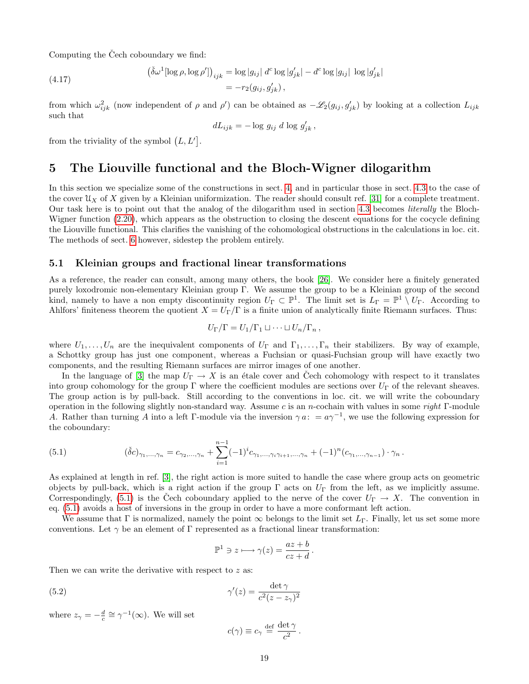Computing the Cech coboundary we find:

(4.17) 
$$
\left(\check{\delta}\omega^{1}[\log\rho,\log\rho']\right)_{ijk} = \log|g_{ij}| d^{c} \log|g'_{jk}| - d^{c} \log|g_{ij}| \log|g'_{jk}|
$$

$$
= -r_{2}(g_{ij}, g'_{jk}),
$$

from which  $\omega_{ijk}^2$  (now independent of  $\rho$  and  $\rho'$ ) can be obtained as  $-\mathscr{L}_2(g_{ij}, g'_{jk})$  by looking at a collection  $L_{ijk}$ such that

$$
dL_{ijk} = -\log g_{ij} \ d \log g'_{jk},
$$

from the triviality of the symbol  $(L, L']$ .

# <span id="page-18-0"></span>5 The Liouville functional and the Bloch-Wigner dilogarithm

In this section we specialize some of the constructions in sect. [4,](#page-13-0) and in particular those in sect. [4.3](#page-17-0) to the case of the cover  $\mathfrak{U}_X$  of X given by a Kleinian uniformization. The reader should consult ref. [\[31\]](#page-29-2) for a complete treatment. Our task here is to point out that the analog of the dilogarithm used in section [4.3](#page-17-0) becomes literally the Bloch-Wigner function  $(2.20)$ , which appears as the obstruction to closing the descent equations for the cocycle defining the Liouville functional. This clarifies the vanishing of the cohomological obstructions in the calculations in loc. cit. The methods of sect. [6](#page-21-0) however, sidestep the problem entirely.

### <span id="page-18-1"></span>5.1 Kleinian groups and fractional linear transformations

As a reference, the reader can consult, among many others, the book [\[26\]](#page-28-20). We consider here a finitely generated purely loxodromic non-elementary Kleinian group Γ. We assume the group to be a Kleinian group of the second kind, namely to have a non empty discontinuity region  $U_{\Gamma} \subset \mathbb{P}^1$ . The limit set is  $L_{\Gamma} = \mathbb{P}^1 \setminus U_{\Gamma}$ . According to Ahlfors' finiteness theorem the quotient  $X = U_{\Gamma}/\Gamma$  is a finite union of analytically finite Riemann surfaces. Thus:

$$
U_{\Gamma}/\Gamma = U_1/\Gamma_1 \sqcup \cdots \sqcup U_n/\Gamma_n,
$$

where  $U_1, \ldots, U_n$  are the inequivalent components of  $U_{\Gamma}$  and  $\Gamma_1, \ldots, \Gamma_n$  their stabilizers. By way of example, a Schottky group has just one component, whereas a Fuchsian or quasi-Fuchsian group will have exactly two components, and the resulting Riemann surfaces are mirror images of one another.

In the language of [\[3\]](#page-27-3) the map  $U_{\Gamma} \to X$  is an étale cover and Cech cohomology with respect to it translates into group cohomology for the group Γ where the coefficient modules are sections over  $U_{\Gamma}$  of the relevant sheaves. The group action is by pull-back. Still according to the conventions in loc. cit. we will write the coboundary operation in the following slightly non-standard way. Assume c is an n-cochain with values in some right  $\Gamma$ -module A. Rather than turning A into a left Γ-module via the inversion  $\gamma a: a \gamma^{-1}$ , we use the following expression for the coboundary:

<span id="page-18-2"></span>(5.1) 
$$
(\check{\delta}c)_{\gamma_1,\dots,\gamma_n} = c_{\gamma_2,\dots,\gamma_n} + \sum_{i=1}^{n-1} (-1)^i c_{\gamma_1,\dots,\gamma_i\gamma_{i+1},\dots,\gamma_n} + (-1)^n (c_{\gamma_1,\dots,\gamma_{n-1}}) \cdot \gamma_n.
$$

As explained at length in ref. [\[3\]](#page-27-3), the right action is more suited to handle the case where group acts on geometric objects by pull-back, which is a right action if the group  $\Gamma$  acts on  $U_{\Gamma}$  from the left, as we implicitly assume. Correspondingly, [\(5.1\)](#page-18-2) is the Čech coboundary applied to the nerve of the cover  $U_{\Gamma} \to X$ . The convention in eq. [\(5.1\)](#page-18-2) avoids a host of inversions in the group in order to have a more conformant left action.

We assume that  $\Gamma$  is normalized, namely the point  $\infty$  belongs to the limit set  $L_{\Gamma}$ . Finally, let us set some more conventions. Let  $\gamma$  be an element of Γ represented as a fractional linear transformation:

$$
\mathbb{P}^1 \ni z \longmapsto \gamma(z) = \frac{az+b}{cz+d}.
$$

Then we can write the derivative with respect to  $z$  as:

(5.2) 
$$
\gamma'(z) = \frac{\det \gamma}{c^2 (z - z_\gamma)^2}
$$

where  $z_{\gamma} = -\frac{d}{c} \cong \gamma^{-1}(\infty)$ . We will set

$$
c(\gamma) \equiv c_{\gamma} \stackrel{\text{def}}{=} \frac{\det \gamma}{c^2}.
$$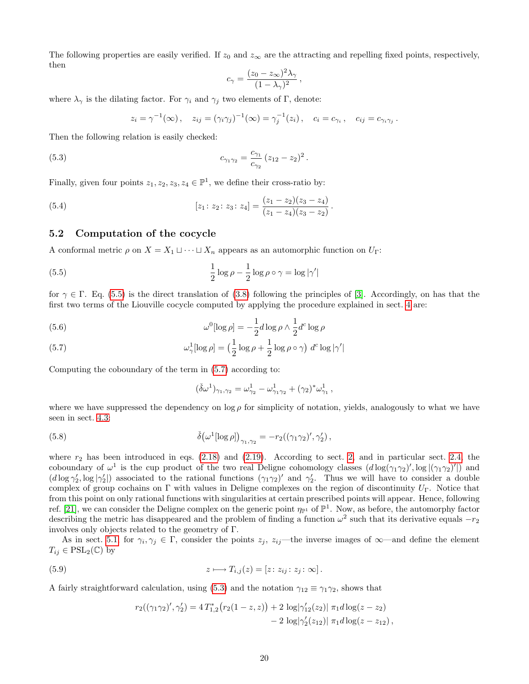The following properties are easily verified. If  $z_0$  and  $z_\infty$  are the attracting and repelling fixed points, respectively, then

<span id="page-19-3"></span>
$$
c_{\gamma} = \frac{(z_0 - z_{\infty})^2 \lambda_{\gamma}}{(1 - \lambda_{\gamma})^2},
$$

where  $\lambda_{\gamma}$  is the dilating factor. For  $\gamma_i$  and  $\gamma_j$  two elements of Γ, denote:

$$
z_i = \gamma^{-1}(\infty), \quad z_{ij} = (\gamma_i \gamma_j)^{-1}(\infty) = \gamma_j^{-1}(z_i), \quad c_i = c_{\gamma_i}, \quad c_{ij} = c_{\gamma_i \gamma_j}.
$$

Then the following relation is easily checked:

(5.3) 
$$
c_{\gamma_1 \gamma_2} = \frac{c_{\gamma_1}}{c_{\gamma_2}} (z_{12} - z_2)^2.
$$

Finally, given four points  $z_1, z_2, z_3, z_4 \in \mathbb{P}^1$ , we define their cross-ratio by:

(5.4) 
$$
[z_1: z_2: z_3: z_4] = \frac{(z_1 - z_2)(z_3 - z_4)}{(z_1 - z_4)(z_3 - z_2)}.
$$

### <span id="page-19-0"></span>5.2 Computation of the cocycle

A conformal metric  $\rho$  on  $X = X_1 \sqcup \cdots \sqcup X_n$  appears as an automorphic function on  $U_{\Gamma}$ :

(5.5) 
$$
\frac{1}{2}\log\rho - \frac{1}{2}\log\rho \circ \gamma = \log|\gamma'|
$$

for  $\gamma \in \Gamma$ . Eq. [\(5.5\)](#page-19-1) is the direct translation of [\(3.8\)](#page-10-1) following the principles of [\[3\]](#page-27-3). Accordingly, on has that the first two terms of the Liouville cocycle computed by applying the procedure explained in sect. [4](#page-13-0) are:

(5.6) 
$$
\omega^0[\log \rho] = -\frac{1}{2}d\log \rho \wedge \frac{1}{2}d^c\log \rho
$$

<span id="page-19-2"></span>(5.7) 
$$
\omega_{\gamma}^{1}[\log \rho] = \left(\frac{1}{2}\log \rho + \frac{1}{2}\log \rho \circ \gamma\right) d^{c} \log |\gamma'|
$$

Computing the coboundary of the term in [\(5.7\)](#page-19-2) according to:

<span id="page-19-1"></span>
$$
(\check{\delta}\omega^{1})_{\gamma_{1},\gamma_{2}} = \omega_{\gamma_{2}}^{1} - \omega_{\gamma_{1}\gamma_{2}}^{1} + (\gamma_{2})^{*}\omega_{\gamma_{1}}^{1},
$$

<span id="page-19-4"></span>where we have suppressed the dependency on  $\log \rho$  for simplicity of notation, yields, analogously to what we have seen in sect. [4.3:](#page-17-0)

(5.8) 
$$
\check{\delta}(\omega^1[\log \rho])_{\gamma_1, \gamma_2} = -r_2((\gamma_1 \gamma_2)', \gamma_2'),
$$

where  $r_2$  has been introduced in eqs. [\(2.18\)](#page-7-3) and [\(2.19\)](#page-8-4). According to sect. [2,](#page-4-0) and in particular sect. [2.4,](#page-7-1) the coboundary of  $\omega^1$  is the cup product of the two real Deligne cohomology classes  $(d \log(\gamma_1 \gamma_2)'$ ,  $\log |(\gamma_1 \gamma_2)'|)$  and  $(d \log \gamma'_2, \log |\gamma'_2|)$  associated to the rational functions  $(\gamma_1 \gamma_2)'$  and  $\gamma'_2$ . Thus we will have to consider a double complex of group cochains on Γ with values in Deligne complexes on the region of discontinuity  $U_{\Gamma}$ . Notice that from this point on only rational functions with singularities at certain prescribed points will appear. Hence, following ref. [\[21\]](#page-28-21), we can consider the Deligne complex on the generic point  $\eta_{\mathbb{P}^1}$  of  $\mathbb{P}^1$ . Now, as before, the automorphy factor describing the metric has disappeared and the problem of finding a function  $\omega^2$  such that its derivative equals  $-r_2$ involves only objects related to the geometry of Γ.

As in sect. [5.1,](#page-18-1) for  $\gamma_i, \gamma_j \in \Gamma$ , consider the points  $z_j$ ,  $z_{ij}$ —the inverse images of  $\infty$ —and define the element  $T_{ij} \in \text{PSL}_2(\mathbb{C})$  by

(5.9) 
$$
z \longmapsto T_{i,j}(z) = [z:z_{ij}:z_j:\infty].
$$

A fairly straightforward calculation, using [\(5.3\)](#page-19-3) and the notation  $\gamma_{12} \equiv \gamma_1 \gamma_2$ , shows that

$$
r_2((\gamma_1\gamma_2)', \gamma_2') = 4 T_{1,2}^* (r_2(1-z, z)) + 2 \log|\gamma_{12}'(z_2)| \pi_1 d \log(z - z_2)
$$
  
- 2  $\log|\gamma_2'(z_{12})| \pi_1 d \log(z - z_{12}),$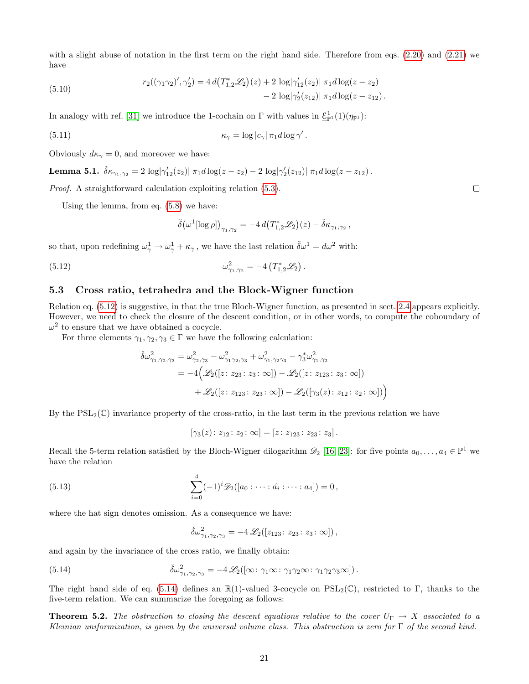with a slight abuse of notation in the first term on the right hand side. Therefore from eqs.  $(2.20)$  and  $(2.21)$  we have

(5.10) 
$$
r_2((\gamma_1\gamma_2)', \gamma_2') = 4d(T_{1,2}^* \mathcal{L}_2)(z) + 2\log|\gamma_{12}'(z_2)| \pi_1 d \log(z - z_2) - 2\log|\gamma_2'(z_{12})| \pi_1 d \log(z - z_{12}).
$$

In analogy with ref. [\[31\]](#page-29-2) we introduce the 1-cochain on  $\Gamma$  with values in  $\underline{\mathcal{E}}_{\mathbb{P}^1}^1(1)(\eta_{\mathbb{P}^1})$ :

(5.11) 
$$
\kappa_{\gamma} = \log |c_{\gamma}| \pi_1 d \log \gamma'.
$$

Obviously  $d\kappa_{\gamma} = 0$ , and moreover we have:

**Lemma 5.1.** 
$$
\delta \kappa_{\gamma_1, \gamma_2} = 2 \log |\gamma'_{12}(z_2)| \pi_1 d \log(z - z_2) - 2 \log |\gamma'_2(z_{12})| \pi_1 d \log(z - z_{12}).
$$

Proof. A straightforward calculation exploiting relation [\(5.3\)](#page-19-3).

Using the lemma, from eq. [\(5.8\)](#page-19-4) we have:

$$
\check{\delta}\big(\omega^1[\log\rho]\big)_{\gamma_1,\gamma_2} = -4\,d\big(T^*_{1,2}\mathscr{L}_2\big)(z) - \check{\delta}\kappa_{\gamma_1,\gamma_2}\,,
$$

so that, upon redefining  $\omega_{\gamma}^1 \to \omega_{\gamma}^1 + \kappa_{\gamma}$ , we have the last relation  $\check{\delta}\omega^1 = d\omega^2$  with:

(5.12) 
$$
\omega_{\gamma_1, \gamma_2}^2 = -4 \left( T_{1,2}^* \mathscr{L}_2 \right).
$$

#### <span id="page-20-0"></span>5.3 Cross ratio, tetrahedra and the Block-Wigner function

Relation eq. [\(5.12\)](#page-20-2) is suggestive, in that the true Bloch-Wigner function, as presented in sect. [2.4](#page-7-1) appears explicitly. However, we need to check the closure of the descent condition, or in other words, to compute the coboundary of  $\omega^2$  to ensure that we have obtained a cocycle.

For three elements  $\gamma_1, \gamma_2, \gamma_3 \in \Gamma$  we have the following calculation:

$$
\delta\omega_{\gamma_1,\gamma_2,\gamma_3}^2 = \omega_{\gamma_2,\gamma_3}^2 - \omega_{\gamma_1\gamma_2,\gamma_3}^2 + \omega_{\gamma_1,\gamma_2\gamma_3}^2 - \gamma_3^* \omega_{\gamma_1,\gamma_2}^2
$$
  
=  $-4\Big(\mathscr{L}_2([z:z_{23}:z_3:\infty]) - \mathscr{L}_2([z:z_{123}:z_3:\infty])$   
+  $\mathscr{L}_2([z:z_{123}:z_{23}:\infty]) - \mathscr{L}_2([\gamma_3(z):z_{12}:z_2:\infty])\Big)$ 

By the  $PSL_2(\mathbb{C})$  invariance property of the cross-ratio, in the last term in the previous relation we have

 $[\gamma_3(z): z_{12}: z_2: \infty] = [z: z_{123}: z_{23}: z_3].$ 

Recall the 5-term relation satisfied by the Bloch-Wigner dilogarithm  $\mathscr{D}_2$  [\[16,](#page-28-7) [23\]](#page-28-6): for five points  $a_0, \ldots, a_4 \in \mathbb{P}^1$  we have the relation

(5.13) 
$$
\sum_{i=0}^{4} (-1)^{i} \mathscr{D}_{2}([a_{0}:\cdots:\hat{a_{i}}:\cdots:a_{4}])=0,
$$

where the hat sign denotes omission. As a consequence we have:

<span id="page-20-3"></span> $\check{\delta}\omega_{\gamma_1,\gamma_2,\gamma_3}^2 = -4 \mathscr{L}_2([z_{123}\colon z_{23}\colon z_3\colon\infty])$ ,

and again by the invariance of the cross ratio, we finally obtain:

(5.14) 
$$
\check{\delta}\omega^2_{\gamma_1,\gamma_2,\gamma_3} = -4 \mathscr{L}_2([\infty: \gamma_1 \infty: \gamma_1 \gamma_2 \infty: \gamma_1 \gamma_2 \gamma_3 \infty]).
$$

The right hand side of eq. [\(5.14\)](#page-20-3) defines an  $\mathbb{R}(1)$ -valued 3-cocycle on PSL<sub>2</sub>(C), restricted to Γ, thanks to the five-term relation. We can summarize the foregoing as follows:

<span id="page-20-1"></span>**Theorem 5.2.** The obstruction to closing the descent equations relative to the cover  $U_{\Gamma} \to X$  associated to a Kleinian uniformization, is given by the universal volume class. This obstruction is zero for  $\Gamma$  of the second kind.

<span id="page-20-2"></span> $\Box$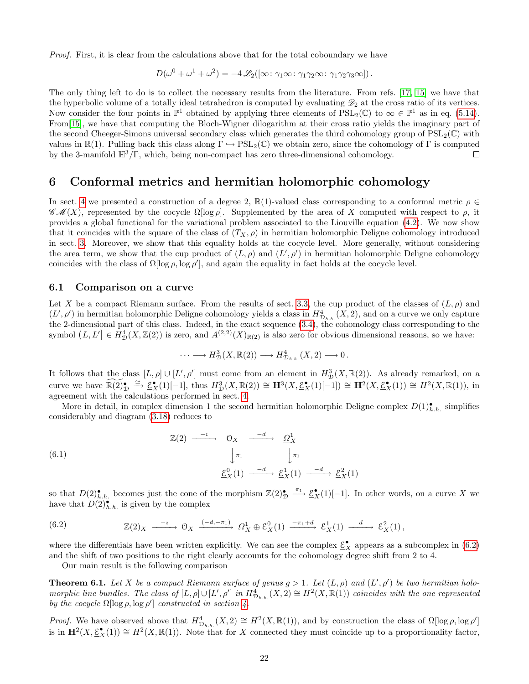Proof. First, it is clear from the calculations above that for the total coboundary we have

$$
D(\omega^0 + \omega^1 + \omega^2) = -4 \mathscr{L}_2([\infty : \gamma_1 \infty : \gamma_1 \gamma_2 \infty : \gamma_1 \gamma_2 \gamma_3 \infty]).
$$

The only thing left to do is to collect the necessary results from the literature. From refs. [\[17,](#page-28-22) [15\]](#page-28-23) we have that the hyperbolic volume of a totally ideal tetrahedron is computed by evaluating  $\mathscr{D}_2$  at the cross ratio of its vertices. Now consider the four points in  $\mathbb{P}^1$  obtained by applying three elements of  $\text{PSL}_2(\mathbb{C})$  to  $\infty \in \mathbb{P}^1$  as in eq. [\(5.14\)](#page-20-3). From[\[15\]](#page-28-23), we have that computing the Bloch-Wigner dilogarithm at their cross ratio yields the imaginary part of the second Cheeger-Simons universal secondary class which generates the third cohomology group of  $PSL_2(\mathbb{C})$  with values in  $\mathbb{R}(1)$ . Pulling back this class along  $\Gamma \hookrightarrow \text{PSL}_2(\mathbb{C})$  we obtain zero, since the cohomology of  $\Gamma$  is computed by the 3-manifold  $\mathbb{H}^3/\Gamma$ , which, being non-compact has zero three-dimensional cohomology. Г

# <span id="page-21-0"></span>6 Conformal metrics and hermitian holomorphic cohomology

In sect. [4](#page-13-0) we presented a construction of a degree 2,  $\mathbb{R}(1)$ -valued class corresponding to a conformal metric  $\rho \in$  $\mathscr{CM}(X)$ , represented by the cocycle  $\Omega$ [log  $\rho$ ]. Supplemented by the area of X computed with respect to  $\rho$ , it provides a global functional for the variational problem associated to the Liouville equation [\(4.2\)](#page-13-3). We now show that it coincides with the square of the class of  $(T_X, \rho)$  in hermitian holomorphic Deligne cohomology introduced in sect. [3.](#page-8-0) Moreover, we show that this equality holds at the cocycle level. More generally, without considering the area term, we show that the cup product of  $(L, \rho)$  and  $(L', \rho')$  in hermitian holomorphic Deligne cohomology coincides with the class of  $\Omega[\log \rho, \log \rho']$ , and again the equality in fact holds at the cocycle level.

#### <span id="page-21-1"></span>6.1 Comparison on a curve

Let X be a compact Riemann surface. From the results of sect. [3.3,](#page-12-0) the cup product of the classes of  $(L, \rho)$  and  $(L', \rho')$  in hermitian holomorphic Deligne cohomology yields a class in  $H_{\mathcal{D}_{h,h}}^4(X, 2)$ , and on a curve we only capture the 2-dimensional part of this class. Indeed, in the exact sequence [\(3.4\)](#page-9-5), the cohomology class corresponding to the symbol  $(L, L'] \in H^4_{\mathcal{D}}(X, \mathbb{Z}(2))$  is zero, and  $A^{(2,2)}(X)_{\mathbb{R}(2)}$  is also zero for obvious dimensional reasons, so we have:

<span id="page-21-3"></span>
$$
\cdots \longrightarrow H^3_{\mathcal{D}}(X,\mathbb{R}(2)) \longrightarrow H^4_{\mathcal{D}_{h.h.}}(X,2) \longrightarrow 0.
$$

It follows that the class  $[L, \rho] \cup [L', \rho']$  must come from an element in  $H^3_{\mathcal{D}}(X, \mathbb{R}(2))$ . As already remarked, on a curve we have  $\widetilde{\mathbb{R}(2)}_{\mathcal{D}} \stackrel{\simeq}{\rightarrow} \widetilde{\mathcal{E}}_{X}^{*}(1)[-1]$ , thus  $H_{\mathcal{D}}^{3}(X,\mathbb{R}(2)) \cong \mathbf{H}^{3}(X,\underline{\mathcal{E}}_{X}^{*}(1)[-1]) \cong \mathbf{H}^{2}(X,\underline{\mathcal{E}}_{X}^{*}(1)) \cong H^{2}(X,\mathbb{R}(1)),$  in agreement with the calculations performed in sect. [4.](#page-13-0)

More in detail, in complex dimension 1 the second hermitian holomorphic Deligne complex  $D(1)_{h,h}^{\bullet}$  simplifies considerably and diagram [\(3.18\)](#page-12-3) reduces to

(6.1) 
$$
\mathbb{Z}(2) \xrightarrow{-i} \mathbb{O}_X \xrightarrow{-d} \underline{\Omega}_X^1
$$

$$
\downarrow \pi_1 \qquad \qquad \downarrow \pi_1
$$

$$
\underline{\mathcal{E}}_X^0(1) \xrightarrow{-d} \underline{\mathcal{E}}_X^1(1) \xrightarrow{-d} \underline{\mathcal{E}}_X^2(1)
$$

so that  $D(2)_{h,h.}^{\bullet}$  becomes just the cone of the morphism  $\mathbb{Z}(2)_{\mathcal{D}}^{\bullet} \xrightarrow{\pi_1} \underline{\mathcal{E}}_{X}^{\bullet}(1)[-1]$ . In other words, on a curve X we have that  $D(2)_{h.h.}^{\bullet}$  is given by the complex

(6.2) 
$$
\mathbb{Z}(2)_X \xrightarrow{-i} \mathbb{O}_X \xrightarrow{(-d, -\pi_1)} \underline{\Omega}^1_X \oplus \underline{\mathcal{E}}^0_X(1) \xrightarrow{-\pi_1 + d} \underline{\mathcal{E}}^1_X(1) \xrightarrow{d} \underline{\mathcal{E}}^2_X(1),
$$

where the differentials have been written explicitly. We can see the complex  $\underline{\mathcal{E}}_X^{\bullet}$  appears as a subcomplex in [\(6.2\)](#page-21-3) and the shift of two positions to the right clearly accounts for the cohomology degree shift from 2 to 4.

Our main result is the following comparison

<span id="page-21-2"></span>**Theorem 6.1.** Let X be a compact Riemann surface of genus  $g > 1$ . Let  $(L, \rho)$  and  $(L', \rho')$  be two hermitian holomorphic line bundles. The class of  $[L, \rho] \cup [L', \rho']$  in  $H_{\mathcal{D}_{h,h}}^4(X, \mathbb{Z}) \cong H^2(X, \mathbb{R}(1))$  coincides with the one represented by the cocycle  $\Omega[\log \rho, \log \rho']$  constructed in section [4.](#page-13-0)

*Proof.* We have observed above that  $H_{\mathcal{D}_{h,h}}^4(X,2) \cong H^2(X,\mathbb{R}(1))$ , and by construction the class of  $\Omega[\log \rho, \log \rho']$ is in  $\mathbf{H}^2(X, \underline{\mathcal{E}}^{\bullet}_X(1)) \cong H^2(X, \mathbb{R}(1)).$  Note that for X connected they must coincide up to a proportionality factor,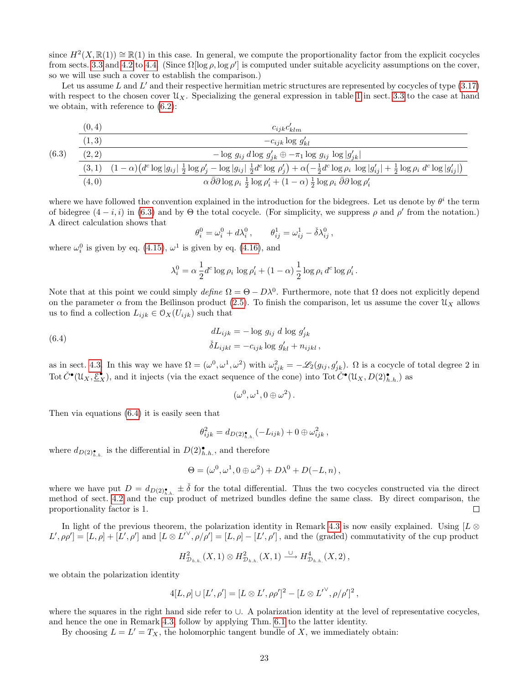since  $H^2(X,\mathbb{R}(1)) \cong \mathbb{R}(1)$  in this case. In general, we compute the proportionality factor from the explicit cocycles from sects. [3.3](#page-12-0) and [4.2](#page-15-0) to [4.4.](#page-17-1) (Since  $\Omega$ [log  $\rho$ , log  $\rho'$ ] is computed under suitable acyclicity assumptions on the cover, so we will use such a cover to establish the comparison.)

Let us assume  $L$  and  $L'$  and their respective hermitian metric structures are represented by cocycles of type  $(3.17)$ with respect to the chosen cover  $\mathcal{U}_X$ . Specializing the general expression in table [1](#page-13-2) in sect. [3.3](#page-12-0) to the case at hand we obtain, with reference to [\(6.2\)](#page-21-3):

<span id="page-22-1"></span>
$$
\frac{(0,4)}{(1,3)} \qquad \qquad \frac{c_{ijk}c'_{klm}}{-c_{ijk}\log g'_{kl}}
$$

$$
(3, 1) \frac{(-1, 3)}{(2, 2)} - \log g_{ij} d \log g'_{jk} \oplus -\pi_1 \log g_{ij} \log |g'_{jk}|
$$
  

$$
\frac{(3, 1) (1 - \alpha)(d^c \log |g_{ij}| \frac{1}{2} \log \rho'_j - \log |g_{ij}| \frac{1}{2} d^c \log \rho'_j) + \alpha(-\frac{1}{2}d^c \log \rho_i \log |g'_{ij}| + \frac{1}{2} \log \rho_i d^c \log |g'_{ij}|)}{\alpha \bar{\partial} \partial \log \rho_i \frac{1}{2} \log \rho'_i + (1 - \alpha) \frac{1}{2} \log \rho_i \bar{\partial} \partial \log \rho'_i}
$$

where we have followed the convention explained in the introduction for the bidegrees. Let us denote by  $\theta^i$  the term of bidegree  $(4-i, i)$  in [\(6.3\)](#page-22-1) and by  $\Theta$  the total cocycle. (For simplicity, we suppress  $\rho$  and  $\rho'$  from the notation.) A direct calculation shows that

$$
\theta_i^0 = \omega_i^0 + d\lambda_i^0 , \qquad \theta_{ij}^1 = \omega_{ij}^1 - \check{\delta}\lambda_{ij}^0 ,
$$

where  $\omega_i^0$  is given by eq. [\(4.15\)](#page-17-3),  $\omega^1$  is given by eq. [\(4.16\)](#page-17-4), and

 $(6.$ 

<span id="page-22-2"></span>
$$
\lambda_i^0 = \alpha \frac{1}{2} d^c \log \rho_i \log \rho'_i + (1 - \alpha) \frac{1}{2} \log \rho_i d^c \log \rho'_i.
$$

Note that at this point we could simply define  $\Omega = \Theta - D\lambda^0$ . Furthermore, note that  $\Omega$  does not explicitly depend on the parameter  $\alpha$  from the Beĭlinson product [\(2.5\)](#page-5-1). To finish the comparison, let us assume the cover  $\mathcal{U}_X$  allows us to find a collection  $L_{ijk} \in \mathcal{O}_X(U_{ijk})$  such that

(6.4) 
$$
dL_{ijk} = -\log g_{ij} d \log g'_{jk}
$$

$$
\delta L_{ijkl} = -c_{ijk} \log g'_{kl} + n_{ijkl},
$$

as in sect. [4.3.](#page-17-0) In this way we have  $\Omega = (\omega^0, \omega^1, \omega^2)$  with  $\omega_{ijk}^2 = -\mathscr{L}_2(g_{ij}, g'_{jk})$ .  $\Omega$  is a cocycle of total degree 2 in Tot  $\check{C}^{\bullet}(\mathfrak{U}_X, \underline{\mathcal{E}}_X^{\bullet})$ , and it injects (via the exact sequence of the cone) into Tot  $\check{C}^{\bullet}(\mathfrak{U}_X, D(2)_{h.h.}^{\bullet})$  as

$$
(\omega^0, \omega^1, 0 \oplus \omega^2).
$$

Then via equations [\(6.4\)](#page-22-2) it is easily seen that

$$
\theta_{ijk}^2 = d_{D(2)\bullet_{h,h.}}(-L_{ijk}) + 0 \oplus \omega_{ijk}^2,
$$

where  $d_{D(2)_{h,h.}^{\bullet}}$  is the differential in  $D(2)_{h,h.}^{\bullet}$ , and therefore

$$
\Theta = (\omega^0, \omega^1, 0 \oplus \omega^2) + D\lambda^0 + D(-L, n),
$$

where we have put  $D = d_{D(2)_{h,h.}} \pm \check{\delta}$  for the total differential. Thus the two cocycles constructed via the direct method of sect. [4.2](#page-15-0) and the cup product of metrized bundles define the same class. By direct comparison, the proportionality factor is 1.  $\Box$ 

In light of the previous theorem, the polarization identity in Remark [4.3](#page-15-5) is now easily explained. Using [L ⊗  $L', \rho \rho' = [L, \rho] + [L', \rho']$  and  $[L \otimes L^{\prime\vee}, \rho/\rho'] = [L, \rho] - [L', \rho']$ , and the (graded) commutativity of the cup product

$$
H_{\mathcal{D}_{h.h.}}^2(X,1)\otimes H_{\mathcal{D}_{h.h.}}^2(X,1)\stackrel{\cup}{\longrightarrow}H_{\mathcal{D}_{h.h.}}^4(X,2)\,,
$$

we obtain the polarization identity

$$
4[L,\rho] \cup [L',\rho'] = [L \otimes L',\rho\rho']^2 - [L \otimes L'^{\vee},\rho/\rho']^2,
$$

where the squares in the right hand side refer to ∪. A polarization identity at the level of representative cocycles, and hence the one in Remark [4.3,](#page-15-5) follow by applying Thm. [6.1](#page-21-2) to the latter identity.

<span id="page-22-0"></span>By choosing  $L = L' = T_X$ , the holomorphic tangent bundle of X, we immediately obtain: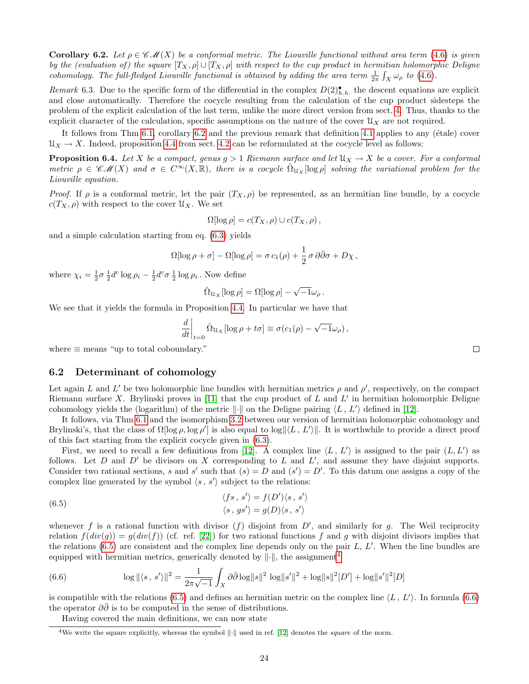**Corollary 6.2.** Let  $\rho \in \mathscr{CM}(X)$  be a conformal metric. The Liouville functional without area term [\(4.6\)](#page-15-6) is given by the (evaluation of) the square  $[T_X, \rho] \cup [T_X, \rho]$  with respect to the cup product in hermitian holomorphic Deligne cohomology. The full-fledged Liouville functional is obtained by adding the area term  $\frac{1}{2\pi} \int_X \omega_\rho$  to [\(4.6\)](#page-15-6).

Remark 6.3. Due to the specific form of the differential in the complex  $D(2)$ <sup>\*</sup>, h. the descent equations are explicit and close automatically. Therefore the cocycle resulting from the calculation of the cup product sidesteps the problem of the explicit calculation of the last term, unlike the more direct version from sect. [4.](#page-13-0) Thus, thanks to the explicit character of the calculation, specific assumptions on the nature of the cover  $\mathfrak{U}_X$  are not required.

It follows from Thm  $6.1$ , corollary  $6.2$  and the previous remark that definition  $4.1$  applies to any (étale) cover  $\mathcal{U}_X \to X$ . Indeed, proposition [4.4](#page-16-0) from sect. [4.2](#page-15-0) can be reformulated at the cocycle level as follows:

<span id="page-23-1"></span>**Proposition 6.4.** Let X be a compact, genus  $g > 1$  Riemann surface and let  $\mathcal{U}_X \to X$  be a cover. For a conformal metric  $\rho \in \mathscr{CM}(X)$  and  $\sigma \in C^{\infty}(X,\mathbb{R})$ , there is a cocycle  $\Omega_{\mathcal{U}_X}[\log \rho]$  solving the variational problem for the Liouville equation.

Proof. If  $\rho$  is a conformal metric, let the pair  $(T_X, \rho)$  be represented, as an hermitian line bundle, by a cocycle  $c(T_X, \rho)$  with respect to the cover  $\mathfrak{U}_X$ . We set

$$
\Omega[\log \rho] = c(T_X, \rho) \cup c(T_X, \rho),
$$

and a simple calculation starting from eq. [\(6.3\)](#page-22-1) yields

$$
\Omega[\log \rho + \sigma] - \Omega[\log \rho] = \sigma c_1(\rho) + \frac{1}{2} \sigma \, \partial \bar{\partial} \sigma + D\chi \,,
$$

where  $\chi_i = \frac{1}{2}\sigma \frac{1}{2}d^c \log \rho_i - \frac{1}{2}d^c \sigma \frac{1}{2} \log \rho_i$ . Now define

$$
\hat{\Omega}_{\mathcal{U}_X}[\log \rho] = \Omega[\log \rho] - \sqrt{-1}\omega_\rho.
$$

We see that it yields the formula in Proposition [4.4.](#page-16-0) In particular we have that

$$
\left. \frac{d}{dt} \right|_{t=0} \hat{\Omega}_{\mathcal{U}_X} [\log \rho + t\sigma] \equiv \sigma(c_1(\rho) - \sqrt{-1}\omega_\rho),
$$

where  $\equiv$  means "up to total coboundary."

### <span id="page-23-0"></span>6.2 Determinant of cohomology

Let again L and L' be two holomorphic line bundles with hermitian metrics  $\rho$  and  $\rho'$ , respectively, on the compact Riemann surface X. Brylinski proves in [\[11\]](#page-28-8) that the cup product of  $L$  and  $L'$  in hermitian holomorphic Deligne cohomology yields the (logarithm) of the metric  $\|\cdot\|$  on the Deligne pairing  $\langle L, L'\rangle$  defined in [\[12\]](#page-28-9).

It follows, via Thm [6.1](#page-21-2) and the isomorphism [3.2](#page-9-0) between our version of hermitian holomorphic cohomology and Brylinski's, that the class of  $\Omega[\log \rho, \log \rho']$  is also equal to  $\log ||\langle L, L' \rangle||$ . It is worthwhile to provide a direct proof of this fact starting from the explicit cocycle given in [\(6.3\)](#page-22-1).

First, we need to recall a few definitions from [\[12\]](#page-28-9). A complex line  $\langle L, L' \rangle$  is assigned to the pair  $(L, L')$  as follows. Let  $D$  and  $D'$  be divisors on  $X$  corresponding to  $L$  and  $L'$ , and assume they have disjoint supports. Consider two rational sections, s and s' such that  $(s) = D$  and  $(s') = D'$ . To this datum one assigns a copy of the complex line generated by the symbol  $\langle s, s' \rangle$  subject to the relations:

(6.5) 
$$
\langle fs, s' \rangle = f(D') \langle s, s' \rangle
$$

$$
\langle s, gs' \rangle = g(D) \langle s, s' \rangle
$$

whenever f is a rational function with divisor  $(f)$  disjoint from  $D'$ , and similarly for g. The Weil reciprocity relation  $f(div(g)) = g(div(f))$  (cf. ref. [\[22\]](#page-28-18)) for two rational functions f and g with disjoint divisors implies that the relations  $(6.5)$  are consistent and the complex line depends only on the pair  $L, L'$ . When the line bundles are equipped with hermitian metrics, generically denoted by  $\|\cdot\|$ , the assignment<sup>[4](#page-23-4)</sup>

(6.6) 
$$
\log \|\langle s, s' \rangle\|^2 = \frac{1}{2\pi\sqrt{-1}} \int_X \partial \bar{\partial} \log \|s\|^2 \log \|s'\|^2 + \log \|s\|^2 [D'] + \log \|s'\|^2 [D]
$$

is compatible with the relations [\(6.5\)](#page-23-3) and defines an hermitian metric on the complex line  $\langle L, L' \rangle$ . In formula [\(6.6\)](#page-23-5) the operator  $\partial\bar{\partial}$  is to be computed in the sense of distributions.

Having covered the main definitions, we can now state

<span id="page-23-5"></span><span id="page-23-3"></span> $\Box$ 

<span id="page-23-4"></span><span id="page-23-2"></span><sup>&</sup>lt;sup>4</sup>We write the square explicitly, whereas the symbol  $\|\cdot\|$  used in ref. [\[12\]](#page-28-9) denotes the square of the norm.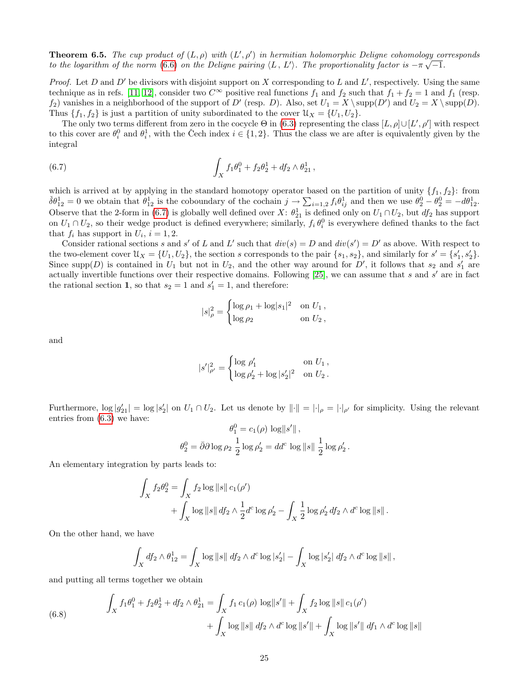**Theorem 6.5.** The cup product of  $(L, \rho)$  with  $(L', \rho')$  in hermitian holomorphic Deligne cohomology corresponds to the logarithm of the norm [\(6.6\)](#page-23-5) on the Deligne pairing  $\langle L, L' \rangle$ . The proportionality factor is  $-\pi \sqrt{-1}$ .

*Proof.* Let D and D' be divisors with disjoint support on X corresponding to L and L', respectively. Using the same technique as in refs. [\[11,](#page-28-8) [12\]](#page-28-9), consider two  $C^{\infty}$  positive real functions  $f_1$  and  $f_2$  such that  $f_1 + f_2 = 1$  and  $f_1$  (resp.  $f_2$ ) vanishes in a neighborhood of the support of D' (resp. D). Also, set  $U_1 = X \ \ \ \text{supp}(D')$  and  $U_2 = X \ \ \ \text{supp}(D)$ . Thus  $\{f_1, f_2\}$  is just a partition of unity subordinated to the cover  $\mathcal{U}_X = \{U_1, U_2\}.$ 

<span id="page-24-0"></span>The only two terms different from zero in the cocycle  $\Theta$  in [\(6.3\)](#page-22-1) representing the class  $[L, \rho] \cup [L', \rho']$  with respect to this cover are  $\theta_i^0$  and  $\theta_i^1$ , with the Čech index  $i \in \{1,2\}$ . Thus the class we are after is equivalently given by the integral

(6.7) 
$$
\int_X f_1 \theta_1^0 + f_2 \theta_2^1 + df_2 \wedge \theta_{21}^1,
$$

which is arrived at by applying in the standard homotopy operator based on the partition of unity  $\{f_1, f_2\}$ : from  $\check{\delta}\theta_{12}^1 = 0$  we obtain that  $\theta_{12}^1$  is the coboundary of the cochain  $j \to \sum_{i=1,2} f_i \theta_{ij}^1$  and then we use  $\theta_2^0 - \theta_2^0 = -d\theta_{12}^1$ . Observe that the 2-form in [\(6.7\)](#page-24-0) is globally well defined over X:  $\theta_{21}^1$  is defined only on  $U_1 \cap U_2$ , but  $df_2$  has support on  $U_1 \cap U_2$ , so their wedge product is defined everywhere; similarly,  $f_i \theta_i^0$  is everywhere defined thanks to the fact that  $f_i$  has support in  $U_i$ ,  $i = 1, 2$ .

Consider rational sections s and s' of L and L' such that  $div(s) = D$  and  $div(s') = D'$  as above. With respect to the two-element cover  $\mathcal{U}_X = \{U_1, U_2\}$ , the section s corresponds to the pair  $\{s_1, s_2\}$ , and similarly for  $s' = \{s'_1, s'_2\}$ . Since supp(D) is contained in  $U_1$  but not in  $U_2$ , and the other way around for D', it follows that  $s_2$  and  $s'_1$  are actually invertible functions over their respective domains. Following [\[25\]](#page-28-11), we can assume that s and s' are in fact the rational section 1, so that  $s_2 = 1$  and  $s_1' = 1$ , and therefore:

$$
|s|_{\rho}^{2} = \begin{cases} \log \rho_1 + \log |s_1|^2 & \text{on } U_1, \\ \log \rho_2 & \text{on } U_2, \end{cases}
$$

and

$$
|s'|_{\rho'}^2 = \begin{cases} \log \rho'_1 & \text{on } U_1, \\ \log \rho'_2 + \log |s'_2|^2 & \text{on } U_2. \end{cases}
$$

Furthermore,  $\log |g'_{21}| = \log |s'_{2}|$  on  $U_1 \cap U_2$ . Let us denote by  $\|\cdot\| = |\cdot|_{\rho} = |\cdot|_{\rho'}$  for simplicity. Using the relevant entries from [\(6.3\)](#page-22-1) we have:

$$
\theta_1^0 = c_1(\rho) \, \log \|s'\| \,,
$$
  

$$
\theta_2^0 = \bar{\partial}\partial \log \rho_2 \, \frac{1}{2} \log \rho_2' = dd^c \, \log \|s\| \, \frac{1}{2} \log \rho_2' \,.
$$

An elementary integration by parts leads to:

$$
\int_X f_2 \theta_2^0 = \int_X f_2 \log \|s\| c_1(\rho')
$$
  
+ 
$$
\int_X \log \|s\| d f_2 \wedge \frac{1}{2} d^c \log \rho'_2 - \int_X \frac{1}{2} \log \rho'_2 d f_2 \wedge d^c \log \|s\|.
$$

On the other hand, we have

<span id="page-24-1"></span>
$$
\int_X df_2 \wedge \theta_{12}^1 = \int_X \log ||s|| \, df_2 \wedge d^c \log |s_2'| - \int_X \log |s_2'| \, df_2 \wedge d^c \log ||s||,
$$

and putting all terms together we obtain

(6.8) 
$$
\int_X f_1 \theta_1^0 + f_2 \theta_2^1 + df_2 \wedge \theta_{21}^1 = \int_X f_1 c_1(\rho) \log ||s'|| + \int_X f_2 \log ||s|| c_1(\rho')
$$

$$
+ \int_X \log ||s|| df_2 \wedge d^c \log ||s'|| + \int_X \log ||s'|| df_1 \wedge d^c \log ||s||
$$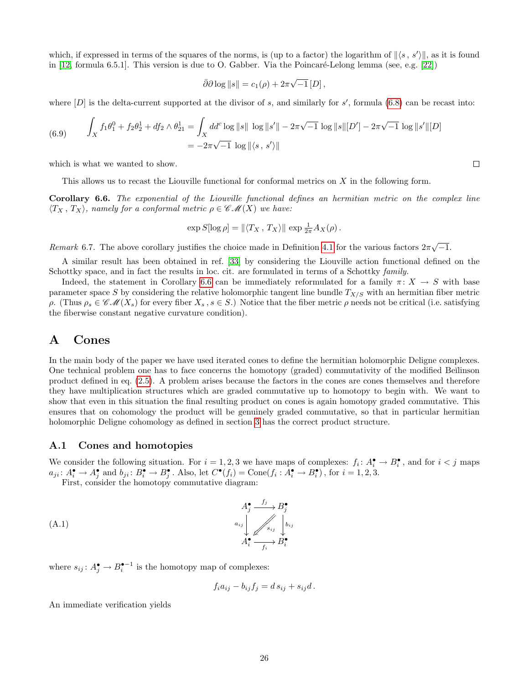which, if expressed in terms of the squares of the norms, is (up to a factor) the logarithm of  $\|\langle s, s' \rangle\|$ , as it is found in  $[12, \text{ formula } 6.5.1]$ . This version is due to O. Gabber. Via the Poincaré-Lelong lemma (see, e.g.  $[22]$ )

$$
\bar{\partial}\partial\log\|s\| = c_1(\rho) + 2\pi\sqrt{-1}\,[D],
$$

where  $[D]$  is the delta-current supported at the divisor of s, and similarly for s', formula [\(6.8\)](#page-24-1) can be recast into:

(6.9) 
$$
\int_X f_1 \theta_1^0 + f_2 \theta_2^1 + df_2 \wedge \theta_{21}^1 = \int_X dd^c \log ||s|| \log ||s'|| - 2\pi \sqrt{-1} \log ||s|| [D'] - 2\pi \sqrt{-1} \log ||s'|| [D]
$$

$$
= -2\pi \sqrt{-1} \log ||\langle s, s' \rangle||
$$

which is what we wanted to show.

This allows us to recast the Liouville functional for conformal metrics on X in the following form.

<span id="page-25-2"></span>Corollary 6.6. The exponential of the Liouville functional defines an hermitian metric on the complex line  $\langle T_X, T_X \rangle$ , namely for a conformal metric  $\rho \in \mathscr{CM}(X)$  we have:

$$
\exp S[\log \rho] = \| \langle T_X, T_X \rangle \| \exp \frac{1}{2\pi} A_X(\rho).
$$

Remark 6.7. The above corollary justifies the choice made in Definition [4.1](#page-14-5) for the various factors  $2\pi\sqrt{-1}$ .

A similar result has been obtained in ref. [\[33\]](#page-29-3) by considering the Liouville action functional defined on the Schottky space, and in fact the results in loc. cit. are formulated in terms of a Schottky family.

Indeed, the statement in Corollary [6.6](#page-25-2) can be immediately reformulated for a family  $\pi: X \to S$  with base parameter space S by considering the relative holomorphic tangent line bundle  $T_{X/S}$  with an hermitian fiber metric ρ. (Thus  $ρ_s \in \mathscr{CM}(X_s)$  for every fiber  $X_s$ ,  $s \in S$ .) Notice that the fiber metric *ρ* needs not be critical (i.e. satisfying the fiberwise constant negative curvature condition).

# <span id="page-25-0"></span>A Cones

In the main body of the paper we have used iterated cones to define the hermitian holomorphic Deligne complexes. One technical problem one has to face concerns the homotopy (graded) commutativity of the modified Beĭlinson product defined in eq. [\(2.5\)](#page-5-1). A problem arises because the factors in the cones are cones themselves and therefore they have multiplication structures which are graded commutative up to homotopy to begin with. We want to show that even in this situation the final resulting product on cones is again homotopy graded commutative. This ensures that on cohomology the product will be genuinely graded commutative, so that in particular hermitian holomorphic Deligne cohomology as defined in section [3](#page-8-0) has the correct product structure.

#### <span id="page-25-1"></span>A.1 Cones and homotopies

We consider the following situation. For  $i = 1, 2, 3$  we have maps of complexes:  $f_i: A_i^{\bullet} \to B_i^{\bullet}$ , and for  $i < j$  maps  $a_{ji} \colon A_i^{\bullet} \to A_j^{\bullet}$  and  $b_{ji} \colon B_i^{\bullet} \to B_j^{\bullet}$ . Also, let  $C^{\bullet}(f_i) = \text{Cone}(f_i : A_i^{\bullet} \to B_i^{\bullet})$ , for  $i = 1, 2, 3$ .

First, consider the homotopy commutative diagram:

(A.1) A• j fj / aij B• j bij sij z-} } } } } } } } } } } } } } A• i fi /B• i

where  $s_{ij}: A_j^{\bullet} \to B_i^{\bullet-1}$  is the homotopy map of complexes:

<span id="page-25-3"></span>
$$
f_i a_{ij} - b_{ij} f_j = d s_{ij} + s_{ij} d.
$$

<span id="page-25-4"></span>An immediate verification yields

 $\Box$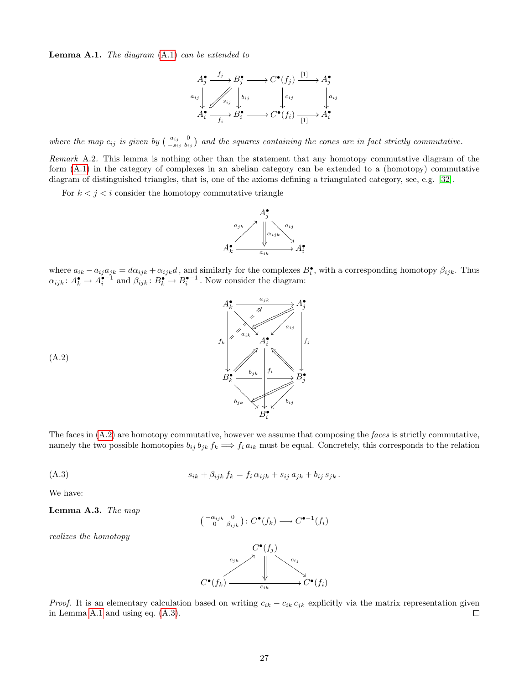**Lemma A.1.** The diagram  $(A.1)$  can be extended to

$$
A_j^{\bullet} \xrightarrow{f_j} B_j^{\bullet} \longrightarrow C^{\bullet}(f_j) \xrightarrow{[1]} A_j^{\bullet}
$$
  
\n
$$
a_{ij} \downarrow \qquad \qquad \downarrow a_{ij} \downarrow \qquad \qquad \downarrow a_{ij}
$$
  
\n
$$
A_i^{\bullet} \xrightarrow{f_i} B_i^{\bullet} \longrightarrow C^{\bullet}(f_i) \xrightarrow{[1]} A_i^{\bullet}
$$

where the map  $c_{ij}$  is given by  $\begin{pmatrix} a_{ij} & 0 \\ -s_{ij} & b_{ij} \end{pmatrix}$  and the squares containing the cones are in fact strictly commutative.

Remark A.2. This lemma is nothing other than the statement that any homotopy commutative diagram of the form [\(A.1\)](#page-25-3) in the category of complexes in an abelian category can be extended to a (homotopy) commutative diagram of distinguished triangles, that is, one of the axioms defining a triangulated category, see, e.g. [\[32\]](#page-29-4).

For  $k < j < i$  consider the homotopy commutative triangle

<span id="page-26-0"></span>

where  $a_{ik} - a_{ij}a_{jk} = d\alpha_{ijk} + \alpha_{ijk}d$ , and similarly for the complexes  $B_i^{\bullet}$ , with a corresponding homotopy  $\beta_{ijk}$ . Thus  $\alpha_{ijk} : A_k^{\bullet} \to A_i^{\bullet-1}$  and  $\beta_{ijk} : B_k^{\bullet} \to B_i^{\bullet-1}$ . Now consider the diagram:



<span id="page-26-1"></span>The faces in  $(A.2)$  are homotopy commutative, however we assume that composing the faces is strictly commutative, namely the two possible homotopies  $b_{ij} b_{jk} f_k \Longrightarrow f_i a_{ik}$  must be equal. Concretely, this corresponds to the relation

(A.3) 
$$
s_{ik} + \beta_{ijk} f_k = f_i \alpha_{ijk} + s_{ij} a_{jk} + b_{ij} s_{jk}.
$$

<span id="page-26-2"></span>We have:

(A.2)

Lemma A.3. The map

$$
\left(\begin{smallmatrix} -\alpha_{ijk} & 0 \\ 0 & \beta_{ijk} \end{smallmatrix}\right) : C^{\bullet}(f_k) \longrightarrow C^{\bullet-1}(f_i)
$$

realizes the homotopy



*Proof.* It is an elementary calculation based on writing  $c_{ik} - c_{ik} c_{jk}$  explicitly via the matrix representation given in Lemma [A.1](#page-25-4) and using eq. [\(A.3\)](#page-26-1).  $\Box$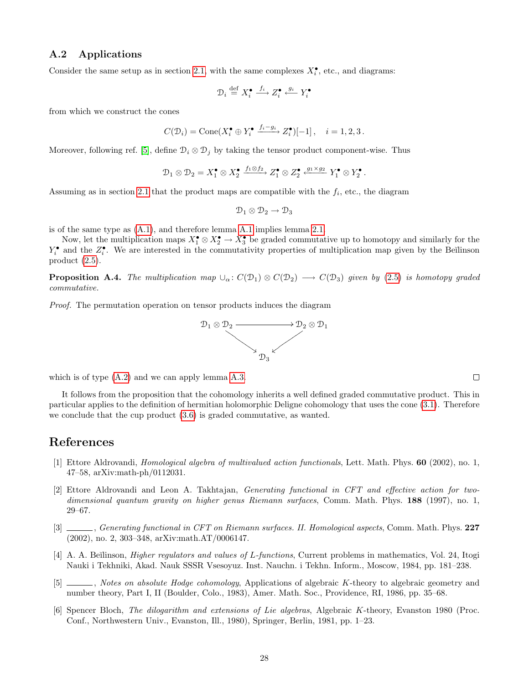### <span id="page-27-0"></span>A.2 Applications

Consider the same setup as in section [2.1,](#page-4-1) with the same complexes  $X_i^{\bullet}$ , etc., and diagrams:

$$
\mathcal{D}_i \stackrel{\mathrm{def}}{=} X_i^\bullet \stackrel{f_i}{\longrightarrow} Z_i^\bullet \stackrel{g_i}{\longleftarrow} Y_i^\bullet
$$

from which we construct the cones

$$
C(\mathcal{D}_i) = \text{Cone}(X_i^{\bullet} \oplus Y_i^{\bullet} \xrightarrow{f_i - g_i} Z_i^{\bullet})[-1], \quad i = 1, 2, 3.
$$

Moreover, following ref. [\[5\]](#page-27-4), define  $\mathcal{D}_i \otimes \mathcal{D}_j$  by taking the tensor product component-wise. Thus

$$
\mathcal{D}_1 \otimes \mathcal{D}_2 = X_1^{\bullet} \otimes X_2^{\bullet} \xrightarrow{f_1 \otimes f_2} Z_1^{\bullet} \otimes Z_2^{\bullet} \xleftarrow{g_1 \times g_2} Y_1^{\bullet} \otimes Y_2^{\bullet}.
$$

Assuming as in section [2.1](#page-4-1) that the product maps are compatible with the  $f_i$ , etc., the diagram

$$
\mathcal{D}_1\otimes\mathcal{D}_2\to\mathcal{D}_3
$$

is of the same type as [\(A.1\)](#page-25-3), and therefore lemma [A.1](#page-25-4) implies lemma [2.1.](#page-5-5)

Now, let the multiplication maps  $X_1^{\bullet} \otimes X_2^{\bullet} \to X_3^{\bullet}$  be graded commutative up to homotopy and similarly for the  $Y_i^{\bullet}$  and the  $Z_i^{\bullet}$ . We are interested in the commutativity properties of multiplication map given by the Beïlinson product [\(2.5\)](#page-5-1).

<span id="page-27-7"></span>**Proposition A.4.** The multiplication map  $\cup_{\alpha}$ :  $C(\mathcal{D}_1) \otimes C(\mathcal{D}_2) \longrightarrow C(\mathcal{D}_3)$  given by [\(2.5\)](#page-5-1) is homotopy graded commutative.

Proof. The permutation operation on tensor products induces the diagram



which is of type  $(A.2)$  and we can apply lemma [A.3.](#page-26-2)

It follows from the proposition that the cohomology inherits a well defined graded commutative product. This in particular applies to the definition of hermitian holomorphic Deligne cohomology that uses the cone [\(3.1\)](#page-9-1). Therefore we conclude that the cup product [\(3.6\)](#page-9-4) is graded commutative, as wanted.

# References

- <span id="page-27-1"></span>[1] Ettore Aldrovandi, Homological algebra of multivalued action functionals, Lett. Math. Phys. 60 (2002), no. 1, 47–58, arXiv:math-ph/0112031.
- <span id="page-27-2"></span>[2] Ettore Aldrovandi and Leon A. Takhtajan, Generating functional in CFT and effective action for twodimensional quantum gravity on higher genus Riemann surfaces, Comm. Math. Phys. 188 (1997), no. 1, 29–67.
- <span id="page-27-3"></span>[3] , Generating functional in CFT on Riemann surfaces. II. Homological aspects, Comm. Math. Phys. 227 (2002), no. 2, 303–348, arXiv:math.AT/0006147.
- <span id="page-27-5"></span>[4] A. A. Beïlinson, *Higher regulators and values of L-functions*, Current problems in mathematics, Vol. 24, Itogi Nauki i Tekhniki, Akad. Nauk SSSR Vsesoyuz. Inst. Nauchn. i Tekhn. Inform., Moscow, 1984, pp. 181–238.
- <span id="page-27-4"></span> $\Box$ , Notes on absolute Hodge cohomology, Applications of algebraic K-theory to algebraic geometry and number theory, Part I, II (Boulder, Colo., 1983), Amer. Math. Soc., Providence, RI, 1986, pp. 35–68.
- <span id="page-27-6"></span>[6] Spencer Bloch, The dilogarithm and extensions of Lie algebras, Algebraic K-theory, Evanston 1980 (Proc. Conf., Northwestern Univ., Evanston, Ill., 1980), Springer, Berlin, 1981, pp. 1–23.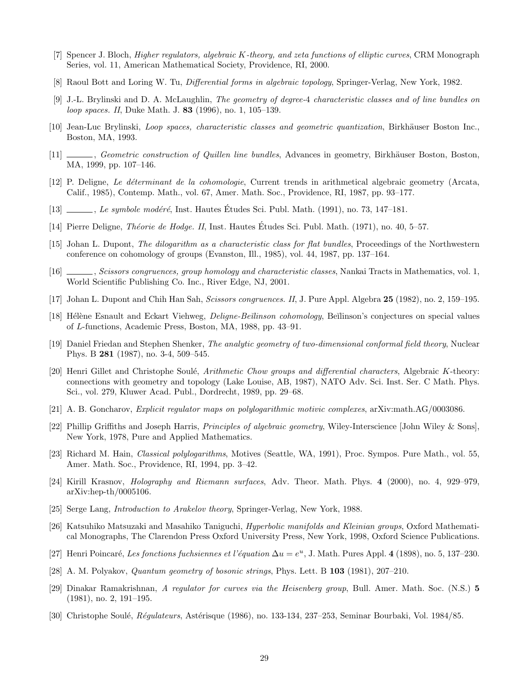- <span id="page-28-5"></span>[7] Spencer J. Bloch, Higher regulators, algebraic K-theory, and zeta functions of elliptic curves, CRM Monograph Series, vol. 11, American Mathematical Society, Providence, RI, 2000.
- <span id="page-28-19"></span>[8] Raoul Bott and Loring W. Tu, *Differential forms in algebraic topology*, Springer-Verlag, New York, 1982.
- <span id="page-28-4"></span>[9] J.-L. Brylinski and D. A. McLaughlin, The geometry of degree-4 characteristic classes and of line bundles on loop spaces. II, Duke Math. J. 83 (1996), no. 1, 105–139.
- <span id="page-28-14"></span>[10] Jean-Luc Brylinski, *Loop spaces, characteristic classes and geometric quantization*, Birkhäuser Boston Inc., Boston, MA, 1993.
- <span id="page-28-8"></span>[11] , Geometric construction of Quillen line bundles, Advances in geometry, Birkhäuser Boston, Boston, MA, 1999, pp. 107–146.
- <span id="page-28-9"></span>[12] P. Deligne, Le d´eterminant de la cohomologie, Current trends in arithmetical algebraic geometry (Arcata, Calif., 1985), Contemp. Math., vol. 67, Amer. Math. Soc., Providence, RI, 1987, pp. 93–177.
- <span id="page-28-3"></span> $[13]$  , Le symbole modéré, Inst. Hautes Études Sci. Publ. Math. (1991), no. 73, 147–181.
- <span id="page-28-12"></span>[14] Pierre Deligne, *Théorie de Hodge. II*, Inst. Hautes Études Sci. Publ. Math. (1971), no. 40, 5–57.
- <span id="page-28-23"></span>[15] Johan L. Dupont, The dilogarithm as a characteristic class for flat bundles, Proceedings of the Northwestern conference on cohomology of groups (Evanston, Ill., 1985), vol. 44, 1987, pp. 137–164.
- <span id="page-28-7"></span>[16] , Scissors congruences, group homology and characteristic classes, Nankai Tracts in Mathematics, vol. 1, World Scientific Publishing Co. Inc., River Edge, NJ, 2001.
- <span id="page-28-22"></span>[17] Johan L. Dupont and Chih Han Sah, Scissors congruences. II, J. Pure Appl. Algebra 25 (1982), no. 2, 159–195.
- <span id="page-28-13"></span>[18] Hélène Esnault and Eckart Viehweg, *Deligne-Beïlinson cohomology*, Beïlinson's conjectures on special values of L-functions, Academic Press, Boston, MA, 1988, pp. 43–91.
- <span id="page-28-10"></span>[19] Daniel Friedan and Stephen Shenker, The analytic geometry of two-dimensional conformal field theory, Nuclear Phys. B 281 (1987), no. 3-4, 509–545.
- <span id="page-28-17"></span>[20] Henri Gillet and Christophe Soulé, Arithmetic Chow groups and differential characters, Algebraic K-theory: connections with geometry and topology (Lake Louise, AB, 1987), NATO Adv. Sci. Inst. Ser. C Math. Phys. Sci., vol. 279, Kluwer Acad. Publ., Dordrecht, 1989, pp. 29–68.
- <span id="page-28-21"></span>[21] A. B. Goncharov, Explicit regulator maps on polylogarithmic motivic complexes, arXiv:math.AG/0003086.
- <span id="page-28-18"></span>[22] Phillip Griffiths and Joseph Harris, Principles of algebraic geometry, Wiley-Interscience [John Wiley & Sons], New York, 1978, Pure and Applied Mathematics.
- <span id="page-28-6"></span>[23] Richard M. Hain, *Classical polylogarithms*, Motives (Seattle, WA, 1991), Proc. Sympos. Pure Math., vol. 55, Amer. Math. Soc., Providence, RI, 1994, pp. 3–42.
- <span id="page-28-2"></span>[24] Kirill Krasnov, Holography and Riemann surfaces, Adv. Theor. Math. Phys. 4 (2000), no. 4, 929–979, arXiv:hep-th/0005106.
- <span id="page-28-11"></span>[25] Serge Lang, Introduction to Arakelov theory, Springer-Verlag, New York, 1988.
- <span id="page-28-20"></span>[26] Katsuhiko Matsuzaki and Masahiko Taniguchi, Hyperbolic manifolds and Kleinian groups, Oxford Mathematical Monographs, The Clarendon Press Oxford University Press, New York, 1998, Oxford Science Publications.
- <span id="page-28-0"></span>[27] Henri Poincaré, Les fonctions fuchsiennes et l'équation  $\Delta u = e^u$ , J. Math. Pures Appl. 4 (1898), no. 5, 137–230.
- <span id="page-28-1"></span>[28] A. M. Polyakov, Quantum geometry of bosonic strings, Phys. Lett. B 103 (1981), 207–210.
- <span id="page-28-15"></span>[29] Dinakar Ramakrishnan, A regulator for curves via the Heisenberg group, Bull. Amer. Math. Soc. (N.S.) 5 (1981), no. 2, 191–195.
- <span id="page-28-16"></span>[30] Christophe Soulé,  $\hat{Regulates}$ , Astérisque (1986), no. 133-134, 237–253, Seminar Bourbaki, Vol. 1984/85.